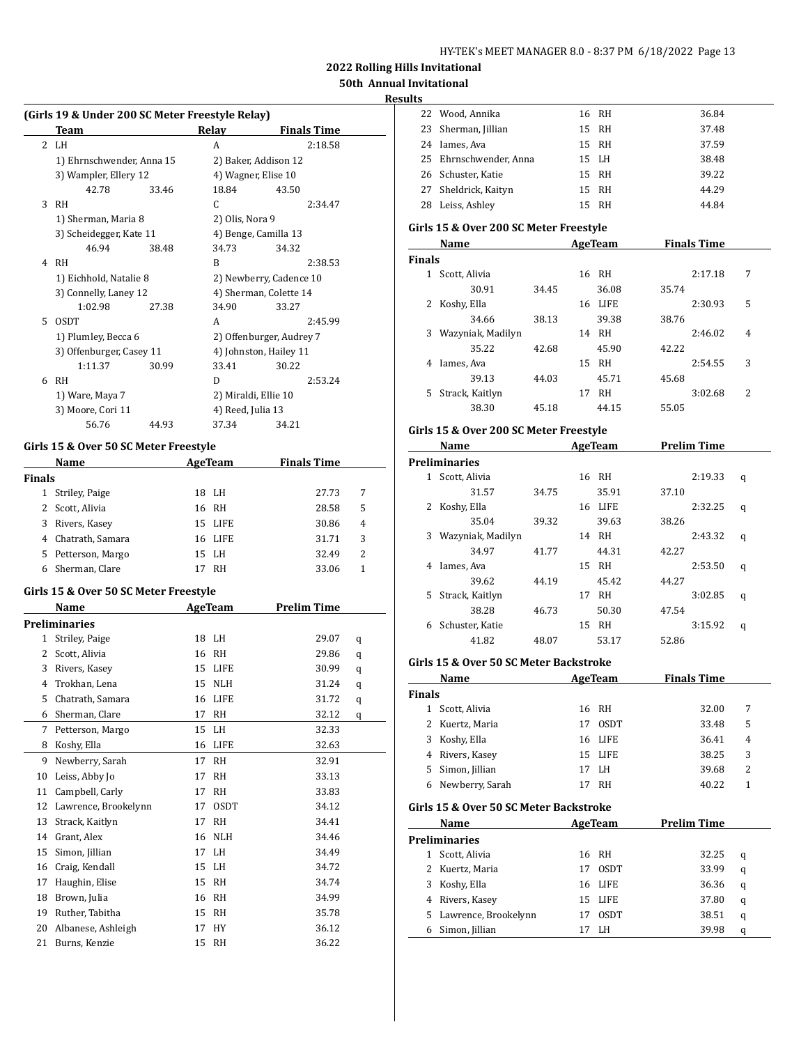## **50th Annual Invitational**

## **Results**

 $\overline{\phantom{a}}$ 

|              | (Girls 19 & Under 200 SC Meter Freestyle Relay) |       |    |                      |                          |                         |
|--------------|-------------------------------------------------|-------|----|----------------------|--------------------------|-------------------------|
|              | Team                                            |       |    | Relay                | <b>Finals Time</b>       |                         |
|              | 2 LH                                            |       |    | A                    | 2:18.58                  |                         |
|              | 1) Ehrnschwender, Anna 15                       |       |    |                      | 2) Baker, Addison 12     |                         |
|              | 3) Wampler, Ellery 12                           |       |    |                      | 4) Wagner, Elise 10      |                         |
|              | 42.78                                           | 33.46 |    | 18.84                | 43.50                    |                         |
| 3            | RH                                              |       |    | C.                   | 2:34.47                  |                         |
|              | 1) Sherman, Maria 8                             |       |    | 2) Olis, Nora 9      |                          |                         |
|              | 3) Scheidegger, Kate 11                         |       |    |                      | 4) Benge, Camilla 13     |                         |
|              | 46.94                                           | 38.48 |    | 34.73                | 34.32                    |                         |
|              | 4 RH                                            |       |    | B                    | 2:38.53                  |                         |
|              | 1) Eichhold, Natalie 8                          |       |    |                      | 2) Newberry, Cadence 10  |                         |
|              | 3) Connelly, Laney 12                           |       |    |                      | 4) Sherman, Colette 14   |                         |
|              | 1:02.98                                         | 27.38 |    | 34.90                | 33.27                    |                         |
| 5            | <b>OSDT</b>                                     |       |    | A                    | 2:45.99                  |                         |
|              | 1) Plumley, Becca 6                             |       |    |                      | 2) Offenburger, Audrey 7 |                         |
|              | 3) Offenburger, Casey 11                        |       |    |                      | 4) Johnston, Hailey 11   |                         |
|              | 1:11.37                                         | 30.99 |    | 33.41                | 30.22                    |                         |
| 6            | <b>RH</b>                                       |       |    | D                    | 2:53.24                  |                         |
|              | 1) Ware, Maya 7                                 |       |    | 2) Miraldi, Ellie 10 |                          |                         |
|              | 3) Moore, Cori 11                               |       |    | 4) Reed, Julia 13    |                          |                         |
|              | 56.76                                           | 44.93 |    | 37.34                | 34.21                    |                         |
|              | Girls 15 & Over 50 SC Meter Freestyle           |       |    |                      |                          |                         |
|              | Name                                            |       |    | <b>AgeTeam</b>       | <b>Finals Time</b>       |                         |
| Finals       |                                                 |       |    |                      |                          |                         |
| $\mathbf{1}$ | Striley, Paige                                  |       | 18 | LH                   |                          | 27.73<br>7              |
| 2            | Scott, Alivia                                   |       | 16 | RH                   |                          | 5<br>28.58              |
| 3            | Rivers, Kasey                                   |       | 15 | LIFE                 |                          | 30.86<br>4              |
| 4            | Chatrath, Samara                                |       | 16 | <b>LIFE</b>          |                          | 3<br>31.71              |
| 5            | Petterson, Margo                                |       | 15 | LH                   |                          | $\overline{2}$<br>32.49 |

#### **Girls 15 & Over 50 SC Meter Freestyle**

|    | Name                 |    | AgeTeam     | <b>Prelim Time</b> |   |
|----|----------------------|----|-------------|--------------------|---|
|    | Preliminaries        |    |             |                    |   |
| 1  | Striley, Paige       | 18 | LH          | 29.07              | q |
| 2  | Scott, Alivia        | 16 | <b>RH</b>   | 29.86              | q |
| 3  | Rivers, Kasey        | 15 | <b>LIFE</b> | 30.99              | q |
| 4  | Trokhan, Lena        | 15 | <b>NLH</b>  | 31.24              | q |
| 5  | Chatrath, Samara     | 16 | <b>LIFE</b> | 31.72              | q |
| 6  | Sherman, Clare       | 17 | <b>RH</b>   | 32.12              | q |
| 7  | Petterson, Margo     | 15 | LH          | 32.33              |   |
| 8  | Koshy, Ella          | 16 | <b>LIFE</b> | 32.63              |   |
| 9  | Newberry, Sarah      | 17 | <b>RH</b>   | 32.91              |   |
| 10 | Leiss, Abby Jo       | 17 | <b>RH</b>   | 33.13              |   |
| 11 | Campbell, Carly      | 17 | <b>RH</b>   | 33.83              |   |
| 12 | Lawrence, Brookelynn | 17 | <b>OSDT</b> | 34.12              |   |
| 13 | Strack, Kaitlyn      | 17 | <b>RH</b>   | 34.41              |   |
| 14 | Grant, Alex          | 16 | <b>NLH</b>  | 34.46              |   |
| 15 | Simon, Jillian       | 17 | LH          | 34.49              |   |
| 16 | Craig, Kendall       | 15 | LH          | 34.72              |   |
| 17 | Haughin, Elise       | 15 | <b>RH</b>   | 34.74              |   |
| 18 | Brown, Julia         | 16 | <b>RH</b>   | 34.99              |   |
| 19 | Ruther, Tabitha      | 15 | <b>RH</b>   | 35.78              |   |
| 20 | Albanese, Ashleigh   | 17 | HY          | 36.12              |   |
| 21 | Burns, Kenzie        | 15 | <b>RH</b>   | 36.22              |   |

6 Sherman, Clare 17 RH 33.06 1

|               | 22 Wood, Annika                        |       |    | 16 RH   | 36.84              |   |
|---------------|----------------------------------------|-------|----|---------|--------------------|---|
|               | 23 Sherman, Jillian                    |       |    | 15 RH   | 37.48              |   |
| 24            | Iames, Ava                             |       |    | 15 RH   | 37.59              |   |
|               | 25 Ehrnschwender, Anna                 |       |    | 15 LH   | 38.48              |   |
|               | 26 Schuster, Katie                     |       |    | 15 RH   | 39.22              |   |
| 27            | Sheldrick, Kaityn                      |       |    | 15 RH   | 44.29              |   |
|               | 28 Leiss, Ashley                       |       | 15 | RH      | 44.84              |   |
|               |                                        |       |    |         |                    |   |
|               | Girls 15 & Over 200 SC Meter Freestyle |       |    |         |                    |   |
|               | Name                                   |       |    | AgeTeam | <b>Finals Time</b> |   |
| <b>Finals</b> |                                        |       |    |         |                    |   |
| 1             | Scott, Alivia                          |       |    | 16 RH   | 2:17.18            | 7 |
|               | 30.91                                  | 34.45 |    | 36.08   | 35.74              |   |
| 2             | Koshy, Ella                            |       |    | 16 LIFE | 2:30.93            | 5 |
|               | 34.66                                  | 38.13 |    | 39.38   | 38.76              |   |

| 3 | Wazyniak, Madilyn |       |    | 14 RH     |       | 2:46.02 | 4 |
|---|-------------------|-------|----|-----------|-------|---------|---|
|   | 35.22             | 42.68 |    | 45.90     | 42.22 |         |   |
|   | Iames, Ava        |       |    | 15 RH     |       | 2:54.55 | 3 |
|   | 39.13             | 44.03 |    | 45.71     | 45.68 |         |   |
|   | 5 Strack, Kaitlyn |       | 17 | <b>RH</b> |       | 3:02.68 | 2 |
|   | 38.30             | 45.18 |    | 44.15     | 55.05 |         |   |

## **Girls 15 & Over 200 SC Meter Freestyle**

|   | Name              |       |    | AgeTeam   |       | <b>Prelim Time</b> |   |  |
|---|-------------------|-------|----|-----------|-------|--------------------|---|--|
|   | Preliminaries     |       |    |           |       |                    |   |  |
| 1 | Scott, Alivia     |       | 16 | <b>RH</b> |       | 2:19.33            | q |  |
|   | 31.57             | 34.75 |    | 35.91     | 37.10 |                    |   |  |
| 2 | Koshy, Ella       |       | 16 | LIFE      |       | 2:32.25            | q |  |
|   | 35.04             | 39.32 |    | 39.63     | 38.26 |                    |   |  |
| 3 | Wazyniak, Madilyn |       | 14 | RH        |       | 2:43.32            | q |  |
|   | 34.97             | 41.77 |    | 44.31     | 42.27 |                    |   |  |
| 4 | Iames, Ava        |       |    | 15 RH     |       | 2:53.50            | q |  |
|   | 39.62             | 44.19 |    | 45.42     | 44.27 |                    |   |  |
| 5 | Strack, Kaitlyn   |       | 17 | RH        |       | 3:02.85            | q |  |
|   | 38.28             | 46.73 |    | 50.30     | 47.54 |                    |   |  |
| 6 | Schuster, Katie   |       | 15 | RH        |       | 3:15.92            | q |  |
|   | 41.82             | 48.07 |    | 53.17     | 52.86 |                    |   |  |

#### **Girls 15 & Over 50 SC Meter Backstroke**

|               | Name                                   |    | AgeTeam     | <b>Finals Time</b> |   |
|---------------|----------------------------------------|----|-------------|--------------------|---|
| <b>Finals</b> |                                        |    |             |                    |   |
| 1             | Scott, Alivia                          | 16 | RH          | 32.00              | 7 |
| 2             | Kuertz, Maria                          | 17 | <b>OSDT</b> | 33.48              | 5 |
| 3             | Koshy, Ella                            | 16 | LIFE        | 36.41              | 4 |
| 4             | Rivers, Kasey                          | 15 | <b>LIFE</b> | 38.25              | 3 |
| 5             | Simon, Jillian                         | 17 | LH.         | 39.68              | 2 |
| 6             | Newberry, Sarah                        | 17 | RH          | 40.22              | 1 |
|               | Girls 15 & Over 50 SC Meter Backstroke |    |             |                    |   |
|               | Name                                   |    | AgeTeam     | Prelim Time        |   |
|               | <b>Preliminaries</b>                   |    |             |                    |   |
| 1             | Scott, Alivia                          | 16 | <b>RH</b>   | 32.25              | q |
| 2             | Kuertz, Maria                          | 17 | <b>OSDT</b> | 33.99              | q |
| 3             | Koshy, Ella                            | 16 | LIFE        | 36.36              | q |
| 4             | Rivers, Kasey                          | 15 | <b>LIFE</b> | 37.80              | q |
| 5             | Lawrence, Brookelynn                   | 17 | <b>OSDT</b> | 38.51              | q |
| 6             | Simon, Jillian                         | 17 | LH          | 39.98              | q |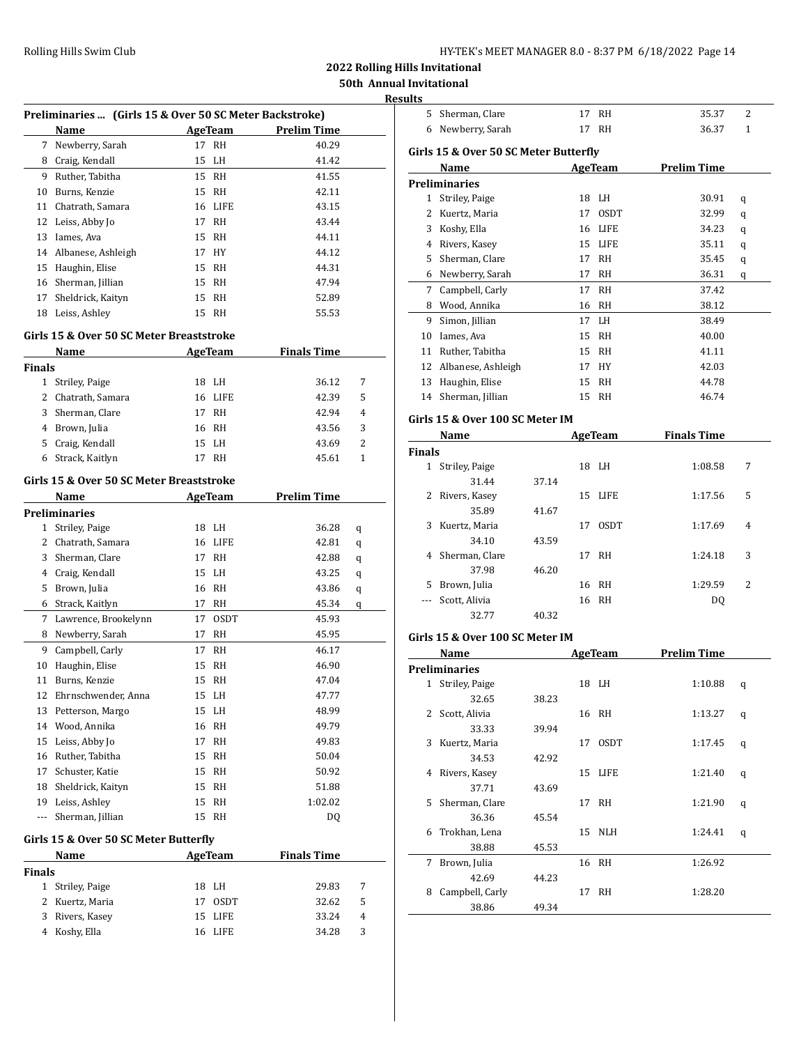| HY-TEK's MEET MANAGER 8.0 - 8:37 PM  6/18/2022  Page 14 |  |  |  |
|---------------------------------------------------------|--|--|--|
|---------------------------------------------------------|--|--|--|

5 Sherman, Clare 17 RH 35.37 2

**2022 Rolling Hills Invitational**

## **50th Annual Invitational Results**

| Preliminaries  (Girls 15 & Over 50 SC Meter Backstroke) |                                          |    |                |                    |   |
|---------------------------------------------------------|------------------------------------------|----|----------------|--------------------|---|
|                                                         | Name                                     |    | AgeTeam        | <b>Prelim Time</b> |   |
| 7                                                       | Newberry, Sarah                          | 17 | RH             | 40.29              |   |
|                                                         | 8 Craig, Kendall                         | 15 | LH             | 41.42              |   |
| 9.                                                      | Ruther, Tabitha                          | 15 | RH             | 41.55              |   |
|                                                         | 10 Burns, Kenzie                         | 15 | RH             | 42.11              |   |
|                                                         | 11 Chatrath, Samara                      |    | 16 LIFE        | 43.15              |   |
|                                                         | 12 Leiss, Abby Jo                        | 17 | RH             | 43.44              |   |
|                                                         | 13 Iames, Ava                            | 15 | RH             | 44.11              |   |
|                                                         | 14 Albanese, Ashleigh                    | 17 | HY             | 44.12              |   |
|                                                         | 15 Haughin, Elise                        | 15 | RH             | 44.31              |   |
|                                                         | 16 Sherman, Jillian                      | 15 | RH             | 47.94              |   |
| 17                                                      |                                          | 15 | RH             | 52.89              |   |
|                                                         | Sheldrick, Kaityn                        |    |                |                    |   |
| 18                                                      | Leiss, Ashley                            | 15 | RH             | 55.53              |   |
|                                                         | Girls 15 & Over 50 SC Meter Breaststroke |    |                |                    |   |
|                                                         | Name                                     |    | <b>AgeTeam</b> | <b>Finals Time</b> |   |
| <b>Finals</b>                                           |                                          |    |                |                    |   |
|                                                         | 1 Striley, Paige                         | 18 | LH             | 36.12              | 7 |
|                                                         | 2 Chatrath, Samara                       | 16 | <b>LIFE</b>    | 42.39              | 5 |
| 3                                                       | Sherman, Clare                           | 17 | RH             | 42.94              | 4 |
|                                                         | 4 Brown, Julia                           | 16 | RH             | 43.56              | 3 |
|                                                         | 5 Craig, Kendall                         | 15 | LH             | 43.69              | 2 |
| 6                                                       | Strack, Kaitlyn                          | 17 | RH             | 45.61              | 1 |
|                                                         |                                          |    |                |                    |   |
|                                                         | Girls 15 & Over 50 SC Meter Breaststroke |    |                |                    |   |
|                                                         | Name                                     |    | <b>AgeTeam</b> | <b>Prelim Time</b> |   |
|                                                         | <b>Preliminaries</b>                     |    |                |                    |   |
| 1                                                       | Striley, Paige                           | 18 | LH             | 36.28              | q |
|                                                         | 2 Chatrath, Samara                       | 16 | LIFE           | 42.81              | q |
| 3                                                       | Sherman, Clare                           | 17 | RH             | 42.88              | q |
| 4                                                       | Craig, Kendall                           | 15 | LH             | 43.25              | q |
| 5                                                       | Brown, Julia                             | 16 | RH             | 43.86              | q |
| 6                                                       | Strack, Kaitlyn                          | 17 | RH             | 45.34              | q |
| 7                                                       | Lawrence, Brookelynn                     | 17 | <b>OSDT</b>    | 45.93              |   |
| 8                                                       | Newberry, Sarah                          | 17 | RH             | 45.95              |   |
| 9                                                       | Campbell, Carly                          | 17 | RH             | 46.17              |   |
| 10                                                      | Haughin, Elise                           | 15 | RH             | 46.90              |   |
| 11                                                      | Burns, Kenzie                            | 15 | RH             | 47.04              |   |
| 12                                                      | Ehrnschwender, Anna                      | 15 | LH             | 47.77              |   |
| 13                                                      | Petterson, Margo                         | 15 | LH             | 48.99              |   |
| 14                                                      | Wood, Annika                             | 16 | RH             | 49.79              |   |
| 15                                                      | Leiss, Abby Jo                           | 17 | RH             | 49.83              |   |
| 16                                                      | Ruther, Tabitha                          | 15 | RH             | 50.04              |   |
| 17                                                      | Schuster, Katie                          | 15 | RH             | 50.92              |   |
| 18                                                      | Sheldrick, Kaityn                        | 15 | RH             | 51.88              |   |
| 19                                                      | Leiss, Ashley                            | 15 | RH             | 1:02.02            |   |
| ---                                                     | Sherman, Jillian                         | 15 | RH             | DQ                 |   |
|                                                         | Girls 15 & Over 50 SC Meter Butterfly    |    |                |                    |   |
|                                                         |                                          |    |                |                    |   |
|                                                         | Name                                     |    | AgeTeam        | <b>Finals Time</b> |   |
| <b>Finals</b>                                           |                                          |    |                |                    |   |
| 1                                                       | Striley, Paige                           | 18 | LH             | 29.83              | 7 |
| 2                                                       | Kuertz, Maria                            | 17 | 0SDT           | 32.62              | 5 |
| 3                                                       | Rivers, Kasey                            | 15 | LIFE           | 33.24              | 4 |
| 4                                                       | Koshy, Ella                              | 16 | LIFE           | 34.28              | 3 |

|        | 6 Newberry, Sarah                     |       |    | 17 RH          | 36.37              | 1 |
|--------|---------------------------------------|-------|----|----------------|--------------------|---|
|        | Girls 15 & Over 50 SC Meter Butterfly |       |    |                |                    |   |
|        | Name                                  |       |    | <b>AgeTeam</b> | <b>Prelim Time</b> |   |
|        | <b>Preliminaries</b>                  |       |    |                |                    |   |
|        | 1 Striley, Paige                      |       |    | 18 LH          | 30.91              | q |
|        | 2 Kuertz, Maria                       |       | 17 | <b>OSDT</b>    | 32.99              | q |
|        | 3 Koshy, Ella                         |       |    | 16 LIFE        | 34.23              | q |
|        | 4 Rivers, Kasey                       |       |    | 15 LIFE        | 35.11              |   |
|        | 5 Sherman, Clare                      |       |    | 17 RH          | 35.45              | q |
|        | 6 Newberry, Sarah                     |       | 17 | RH             | 36.31              | q |
|        | 7 Campbell, Carly                     |       | 17 | <b>RH</b>      | 37.42              | q |
|        |                                       |       |    |                |                    |   |
|        | 8 Wood, Annika                        |       |    | 16 RH          | 38.12              |   |
|        | 9 Simon, Jillian                      |       |    | 17 LH          | 38.49              |   |
|        | 10 Iames, Ava                         |       |    | 15 RH          | 40.00              |   |
|        | 11 Ruther, Tabitha                    |       |    | 15 RH          | 41.11              |   |
|        | 12 Albanese, Ashleigh                 |       |    | 17 HY          | 42.03              |   |
|        | 13 Haughin, Elise                     |       |    | 15 RH          | 44.78              |   |
|        | 14 Sherman, Jillian                   |       |    | 15 RH          | 46.74              |   |
|        | Girls 15 & Over 100 SC Meter IM       |       |    |                |                    |   |
|        | Name                                  |       |    | AgeTeam        | <b>Finals Time</b> |   |
| Finals |                                       |       |    |                |                    |   |
|        | 1 Striley, Paige                      |       |    | 18 LH          | 1:08.58            | 7 |
|        | 31.44                                 | 37.14 |    |                |                    |   |
|        | 2 Rivers, Kasev                       |       |    | 15 LIFE        | 1:17.56            | 5 |
|        | 35.89                                 | 41.67 |    |                |                    |   |
|        | 3 Kuertz, Maria                       |       |    | 17 OSDT        | 1:17.69            | 4 |
|        | 34.10                                 | 43.59 |    |                |                    |   |
|        | 4 Sherman, Clare                      |       |    | 17 RH          | 1:24.18            | 3 |
|        | 37.98                                 | 46.20 |    |                |                    |   |
|        | 5 Brown, Julia                        |       |    | 16 RH          | 1:29.59            | 2 |
| ---    | Scott, Alivia                         |       |    | 16 RH          | DQ                 |   |
|        | 32.77                                 | 40.32 |    |                |                    |   |
|        |                                       |       |    |                |                    |   |
|        | Girls 15 & Over 100 SC Meter IM       |       |    |                |                    |   |
|        | <b>Name</b>                           |       |    | AgeTeam        | <b>Prelim Time</b> |   |
|        | Preliminaries                         |       |    |                |                    |   |
|        | 1 Striley, Paige                      |       |    | 18 LH          | 1:10.88            | q |
|        | 32.65                                 | 38.23 |    |                |                    |   |
|        | 2 Scott, Alivia                       |       |    | 16 RH          | 1:13.27            | q |
|        | 33.33                                 | 39.94 |    |                |                    |   |
| 3      | Kuertz, Maria                         |       |    | 17 OSDT        | 1:17.45            | q |
|        | 34.53                                 | 42.92 |    |                |                    |   |
| 4      | Rivers, Kasey                         |       | 15 | <b>LIFE</b>    | 1:21.40            | q |
|        | 37.71                                 | 43.69 |    |                |                    |   |
| 5.     | Sherman, Clare                        |       | 17 | RH             | 1:21.90            | q |
|        | 36.36                                 | 45.54 |    |                |                    |   |
| 6      | Trokhan, Lena                         |       | 15 | <b>NLH</b>     | 1:24.41            | q |
|        | 38.88                                 | 45.53 |    |                |                    |   |
| 7      | Brown, Julia                          |       |    | 16 RH          | 1:26.92            |   |
|        | 42.69                                 | 44.23 |    |                |                    |   |
| 8      | Campbell, Carly                       |       | 17 | RH             | 1:28.20            |   |
|        | 38.86                                 | 49.34 |    |                |                    |   |
|        |                                       |       |    |                |                    |   |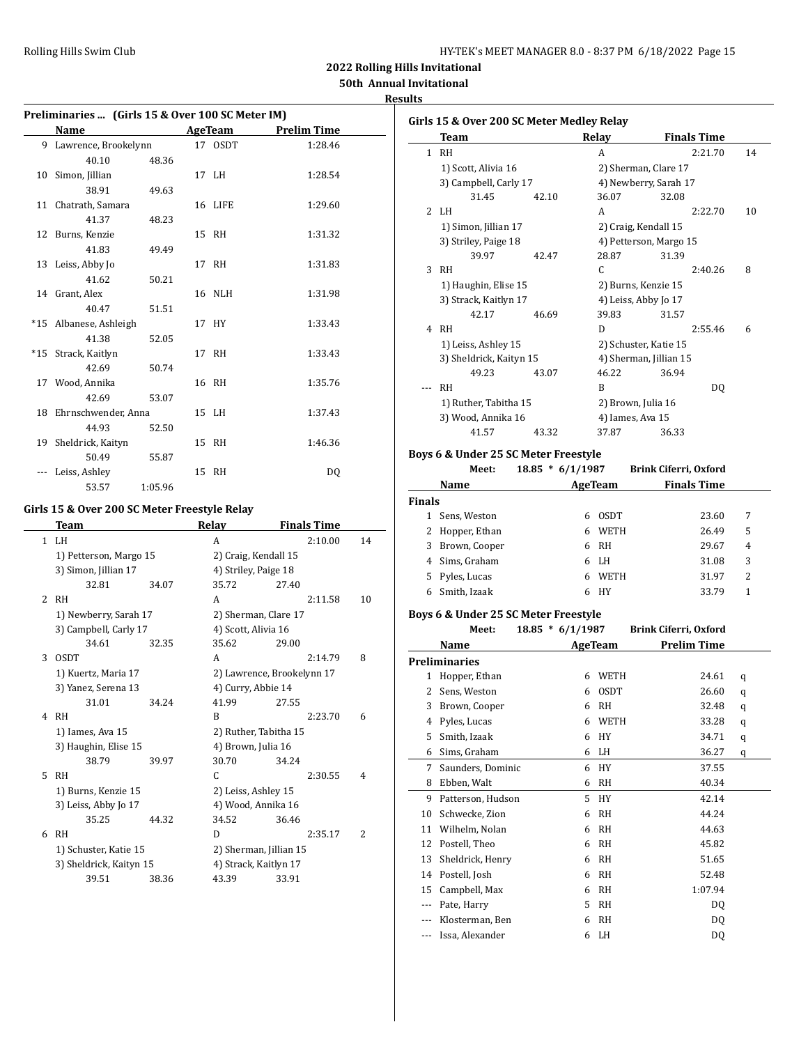| HY-TEK's MEET MANAGER 8.0 - 8:37 PM 6/18/2022 Page 15 |  |  |  |  |
|-------------------------------------------------------|--|--|--|--|
|-------------------------------------------------------|--|--|--|--|

**Results**

## **Preliminaries ... (Girls 15 & Over 100 SC Meter IM)**

|    | Name                   |         | <b>AgeTeam</b> | <b>Prelim Time</b> |
|----|------------------------|---------|----------------|--------------------|
| 9. | Lawrence, Brookelynn   |         | 17 OSDT        | 1:28.46            |
|    | 40.10                  | 48.36   |                |                    |
| 10 | Simon, Jillian         |         | 17 LH          | 1:28.54            |
|    | 38.91                  | 49.63   |                |                    |
|    | 11 Chatrath, Samara    |         | 16 LIFE        | 1:29.60            |
|    | 41.37                  | 48.23   |                |                    |
|    | 12 Burns, Kenzie       |         | 15 RH          | 1:31.32            |
|    | 41.83                  | 49.49   |                |                    |
|    | 13 Leiss, Abby Jo      |         | 17 RH          | 1:31.83            |
|    | 41.62                  | 50.21   |                |                    |
|    | 14 Grant, Alex         |         | 16 NLH         | 1:31.98            |
|    | 40.47                  | 51.51   |                |                    |
|    | *15 Albanese, Ashleigh |         | 17 HY          | 1:33.43            |
|    | 41.38                  | 52.05   |                |                    |
|    | *15 Strack, Kaitlyn    |         | 17 RH          | 1:33.43            |
|    | 42.69                  | 50.74   |                |                    |
|    | 17 Wood, Annika        |         | 16 RH          | 1:35.76            |
|    | 42.69                  | 53.07   |                |                    |
|    | 18 Ehrnschwender, Anna |         | 15 LH          | 1:37.43            |
|    | 44.93                  | 52.50   |                |                    |
|    | 19 Sheldrick, Kaityn   |         | 15 RH          | 1:46.36            |
|    | 50.49                  | 55.87   |                |                    |
|    | Leiss, Ashley          |         | 15 RH          | DO.                |
|    | 53.57                  | 1:05.96 |                |                    |

## **Girls 15 & Over 200 SC Meter Freestyle Relay**

|              | Team                    |       | Relay                  | <b>Finals Time</b>         |    |
|--------------|-------------------------|-------|------------------------|----------------------------|----|
| $\mathbf{1}$ | LH.                     |       | A                      | 2:10.00                    | 14 |
|              | 1) Petterson, Margo 15  |       | 2) Craig, Kendall 15   |                            |    |
|              | 3) Simon, Jillian 17    |       | 4) Striley, Paige 18   |                            |    |
|              | 32.81                   | 34.07 | 35.72                  | 27.40                      |    |
| 2            | <b>RH</b>               |       | A                      | 2:11.58                    | 10 |
|              | 1) Newberry, Sarah 17   |       | 2) Sherman, Clare 17   |                            |    |
|              | 3) Campbell, Carly 17   |       | 4) Scott, Alivia 16    |                            |    |
|              | 34.61                   | 32.35 | 35.62                  | 29.00                      |    |
| 3            | <b>OSDT</b>             |       | A                      | 2:14.79                    | 8  |
|              | 1) Kuertz, Maria 17     |       |                        | 2) Lawrence, Brookelynn 17 |    |
|              | 3) Yanez, Serena 13     |       | 4) Curry, Abbie 14     |                            |    |
|              | 31.01                   | 34.24 | 41.99                  | 27.55                      |    |
| 4            | RH                      |       | B                      | 2:23.70                    | 6  |
|              | 1) Iames, Ava 15        |       | 2) Ruther, Tabitha 15  |                            |    |
|              | 3) Haughin, Elise 15    |       | 4) Brown, Julia 16     |                            |    |
|              | 38.79                   | 39.97 | 30.70                  | 34.24                      |    |
| 5            | <b>RH</b>               |       | C                      | 2:30.55                    | 4  |
|              | 1) Burns, Kenzie 15     |       | 2) Leiss, Ashley 15    |                            |    |
|              | 3) Leiss, Abby Jo 17    |       | 4) Wood, Annika 16     |                            |    |
|              | 35.25                   | 44.32 | 34.52                  | 36.46                      |    |
| 6            | <b>RH</b>               |       | D                      | 2:35.17                    | 2  |
|              | 1) Schuster, Katie 15   |       | 2) Sherman, Jillian 15 |                            |    |
|              | 3) Sheldrick, Kaityn 15 |       | 4) Strack, Kaitlyn 17  |                            |    |
|              | 39.51                   | 38.36 | 43.39                  | 33.91                      |    |
|              |                         |       |                        |                            |    |

|              | Girls 15 & Over 200 SC Meter Medley Relay |       |                    |                        |    |
|--------------|-------------------------------------------|-------|--------------------|------------------------|----|
|              | Team                                      |       | Relay              | <b>Finals Time</b>     |    |
| $\mathbf{1}$ | <b>RH</b>                                 |       | A                  | 2:21.70                | 14 |
|              | 1) Scott, Alivia 16                       |       |                    | 2) Sherman, Clare 17   |    |
|              | 3) Campbell, Carly 17                     |       |                    | 4) Newberry, Sarah 17  |    |
|              | 31.45                                     | 42.10 | 36.07              | 32.08                  |    |
|              | $2$ LH                                    |       | A                  | 2:22.70                | 10 |
|              | 1) Simon, Jillian 17                      |       |                    | 2) Craig, Kendall 15   |    |
|              | 3) Striley, Paige 18                      |       |                    | 4) Petterson, Margo 15 |    |
|              | 39.97                                     | 42.47 | 28.87              | 31.39                  |    |
| 3            | <b>RH</b>                                 |       | C                  | 2:40.26                | 8  |
|              | 1) Haughin, Elise 15                      |       |                    | 2) Burns, Kenzie 15    |    |
|              | 3) Strack, Kaitlyn 17                     |       |                    | 4) Leiss, Abby Jo 17   |    |
|              | 42.17                                     | 46.69 | 39.83              | 31.57                  |    |
| 4            | <b>RH</b>                                 |       | D                  | 2:55.46                | 6  |
|              | 1) Leiss, Ashley 15                       |       |                    | 2) Schuster, Katie 15  |    |
|              | 3) Sheldrick, Kaityn 15                   |       |                    | 4) Sherman, Jillian 15 |    |
|              | 49.23                                     | 43.07 | 46.22              | 36.94                  |    |
|              | <b>RH</b>                                 |       | B                  | DQ                     |    |
|              | 1) Ruther, Tabitha 15                     |       | 2) Brown, Julia 16 |                        |    |
|              | 3) Wood, Annika 16                        |       | 4) Iames, Ava 15   |                        |    |
|              | 41.57                                     | 43.32 | 37.87              | 36.33                  |    |
|              |                                           |       |                    |                        |    |

## **Boys 6 & Under 25 SC Meter Freestyle**

|        | Meet:         | $18.85 * 6/1/1987$ |             | Brink Ciferri, Oxford |   |
|--------|---------------|--------------------|-------------|-----------------------|---|
|        | Name          |                    | AgeTeam     | <b>Finals Time</b>    |   |
| Finals |               |                    |             |                       |   |
|        | Sens, Weston  | 6                  | 0SDT        | 23.60                 | 7 |
|        | Hopper, Ethan | 6                  | <b>WETH</b> | 26.49                 | 5 |
| 3      | Brown, Cooper | 6                  | <b>RH</b>   | 29.67                 | 4 |
| 4      | Sims, Graham  | 6                  | LH.         | 31.08                 | 3 |
| 5.     | Pyles, Lucas  | 6                  | <b>WETH</b> | 31.97                 | 2 |
| 6      | Smith, Izaak  | 6                  | HY          | 33.79                 |   |

#### **Boys 6 & Under 25 SC Meter Freestyle**

|     | Meet:                | $18.85 * 6/1/1987$ |             | Brink Ciferri, Oxford |   |
|-----|----------------------|--------------------|-------------|-----------------------|---|
|     | Name                 |                    | AgeTeam     | <b>Prelim Time</b>    |   |
|     | <b>Preliminaries</b> |                    |             |                       |   |
| 1   | Hopper, Ethan        | 6                  | WETH        | 24.61                 | q |
| 2   | Sens, Weston         | 6                  | <b>OSDT</b> | 26.60                 | q |
| 3   | Brown, Cooper        | 6                  | <b>RH</b>   | 32.48                 | q |
| 4   | Pyles, Lucas         | 6                  | WETH        | 33.28                 | q |
| 5   | Smith, Izaak         | 6                  | HY          | 34.71                 | q |
| 6   | Sims, Graham         | 6                  | LH          | 36.27                 | q |
| 7   | Saunders, Dominic    | 6                  | HY          | 37.55                 |   |
| 8   | Ebben, Walt          | 6                  | RH          | 40.34                 |   |
| 9   | Patterson, Hudson    | 5                  | HY          | 42.14                 |   |
| 10  | Schwecke, Zion       | 6                  | <b>RH</b>   | 44.24                 |   |
| 11  | Wilhelm, Nolan       | 6                  | RH          | 44.63                 |   |
| 12  | Postell, Theo        | 6                  | RH          | 45.82                 |   |
| 13  | Sheldrick, Henry     | 6                  | <b>RH</b>   | 51.65                 |   |
| 14  | Postell, Josh        | 6                  | <b>RH</b>   | 52.48                 |   |
| 15  | Campbell, Max        | 6                  | RH          | 1:07.94               |   |
| --- | Pate, Harry          | 5                  | <b>RH</b>   | DQ                    |   |
|     | Klosterman, Ben      | 6                  | <b>RH</b>   | DQ                    |   |
|     | Issa, Alexander      | 6                  | LH          | DQ                    |   |
|     |                      |                    |             |                       |   |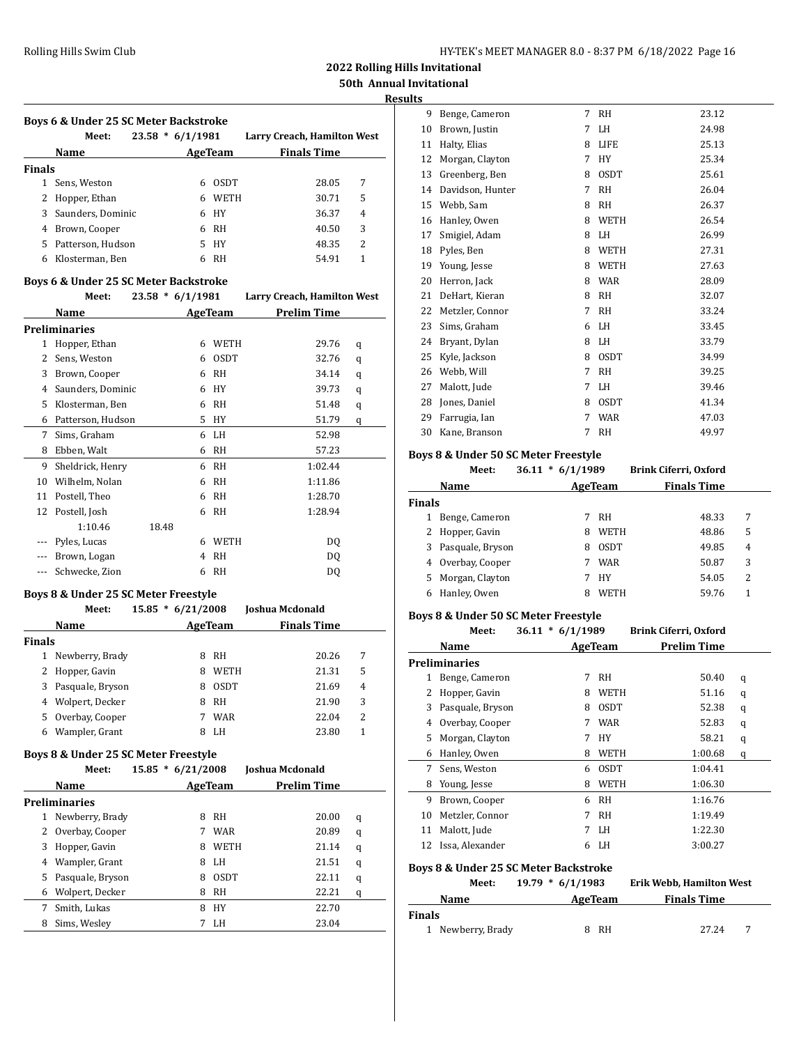**2022 Rolling Hills Invitational 50th Annual Invitational**

## **Results**

| Boys 6 & Under 25 SC Meter Backstroke |                     |  |                    |             |                             |                          |  |  |  |  |  |
|---------------------------------------|---------------------|--|--------------------|-------------|-----------------------------|--------------------------|--|--|--|--|--|
|                                       | Meet:               |  | $23.58 * 6/1/1981$ |             | Larry Creach, Hamilton West |                          |  |  |  |  |  |
|                                       | <b>Name</b>         |  | AgeTeam            |             | <b>Finals Time</b>          |                          |  |  |  |  |  |
| <b>Finals</b>                         |                     |  |                    |             |                             |                          |  |  |  |  |  |
|                                       | Sens, Weston        |  | 6                  | 0SDT        | 28.05                       | 7                        |  |  |  |  |  |
|                                       | 2 Hopper, Ethan     |  | 6                  | <b>WETH</b> | 30.71                       | 5                        |  |  |  |  |  |
|                                       | 3 Saunders, Dominic |  | 6                  | HY          | 36.37                       | 4                        |  |  |  |  |  |
| 4                                     | Brown, Cooper       |  | 6                  | RH          | 40.50                       | 3                        |  |  |  |  |  |
|                                       | 5 Patterson, Hudson |  | 5.                 | HY          | 48.35                       | $\overline{\mathcal{L}}$ |  |  |  |  |  |
| 6                                     | Klosterman, Ben     |  |                    | <b>RH</b>   | 54.91                       |                          |  |  |  |  |  |

#### **Boys 6 & Under 25 SC Meter Backstroke**

|    | Meet:                |       | $23.58 * 6/1/1981$ |                | Larry Creach, Hamilton West |   |
|----|----------------------|-------|--------------------|----------------|-----------------------------|---|
|    | Name                 |       |                    | <b>AgeTeam</b> | <b>Prelim Time</b>          |   |
|    | <b>Preliminaries</b> |       |                    |                |                             |   |
| 1  | Hopper, Ethan        |       | 6                  | WETH           | 29.76                       | q |
| 2  | Sens, Weston         |       | 6                  | <b>OSDT</b>    | 32.76                       | q |
| 3  | Brown, Cooper        |       | 6                  | <b>RH</b>      | 34.14                       | q |
| 4  | Saunders, Dominic    |       | 6                  | HY             | 39.73                       | q |
| 5  | Klosterman, Ben      |       | 6                  | RH             | 51.48                       | q |
| 6  | Patterson, Hudson    |       | 5                  | <b>HY</b>      | 51.79                       | q |
| 7  | Sims, Graham         |       | 6                  | LH             | 52.98                       |   |
| 8  | Ebben, Walt          |       | 6                  | RH             | 57.23                       |   |
| 9  | Sheldrick, Henry     |       | 6                  | <b>RH</b>      | 1:02.44                     |   |
| 10 | Wilhelm, Nolan       |       | 6                  | <b>RH</b>      | 1:11.86                     |   |
| 11 | Postell, Theo        |       | 6                  | <b>RH</b>      | 1:28.70                     |   |
| 12 | Postell, Josh        |       | 6                  | <b>RH</b>      | 1:28.94                     |   |
|    | 1:10.46              | 18.48 |                    |                |                             |   |
|    | Pyles, Lucas         |       | 6                  | <b>WETH</b>    | DQ                          |   |
|    | Brown, Logan         |       | 4                  | <b>RH</b>      | DQ                          |   |
|    | Schwecke, Zion       |       | 6                  | <b>RH</b>      | DQ                          |   |
|    |                      |       |                    |                |                             |   |

## **Boys 8 & Under 25 SC Meter Freestyle**

| Meet:           | 15.85         |                  |             | Joshua Mcdonald          |   |
|-----------------|---------------|------------------|-------------|--------------------------|---|
| Name            |               |                  |             | <b>Finals Time</b>       |   |
|                 |               |                  |             |                          |   |
| Newberry, Brady |               | 8                | RH          | 20.26                    | 7 |
| Hopper, Gavin   |               | 8                | <b>WETH</b> | 21.31                    | 5 |
|                 |               | 8                | 0SDT        | 21.69                    | 4 |
| Wolpert, Decker |               | 8                | RH          | 21.90                    | 3 |
| Overbay, Cooper |               |                  | WAR         | 22.04                    | 2 |
| Wampler, Grant  |               |                  | LH.         | 23.80                    |   |
|                 | <b>Finals</b> | Pasquale, Bryson |             | $* 6/21/2008$<br>AgeTeam |   |

## **Boys 8 & Under 25 SC Meter Freestyle**

|   | Meet:                | $15.85 * 6/21/2008$ |             | <b>Ioshua Mcdonald</b> |   |
|---|----------------------|---------------------|-------------|------------------------|---|
|   | Name                 |                     | AgeTeam     | <b>Prelim Time</b>     |   |
|   | <b>Preliminaries</b> |                     |             |                        |   |
| 1 | Newberry, Brady      | 8                   | <b>RH</b>   | 20.00                  | q |
|   | Overbay, Cooper      |                     | <b>WAR</b>  | 20.89                  | q |
| 3 | Hopper, Gavin        | 8                   | <b>WETH</b> | 21.14                  | q |
| 4 | Wampler, Grant       | 8                   | LH          | 21.51                  | q |
| 5 | Pasquale, Bryson     | 8                   | <b>OSDT</b> | 22.11                  | q |
| 6 | Wolpert, Decker      | 8                   | <b>RH</b>   | 22.21                  | q |
| 7 | Smith, Lukas         | 8                   | HY          | 22.70                  |   |
| 8 | Sims, Wesley         | 7                   | LH          | 23.04                  |   |
|   |                      |                     |             |                        |   |

| 9  | Benge, Cameron   | 7 | RH          | 23.12 |
|----|------------------|---|-------------|-------|
| 10 | Brown, Justin    | 7 | LH          | 24.98 |
| 11 | Halty, Elias     | 8 | <b>LIFE</b> | 25.13 |
| 12 | Morgan, Clayton  | 7 | HY          | 25.34 |
| 13 | Greenberg, Ben   | 8 | <b>OSDT</b> | 25.61 |
| 14 | Davidson, Hunter | 7 | <b>RH</b>   | 26.04 |
| 15 | Webb, Sam        | 8 | <b>RH</b>   | 26.37 |
| 16 | Hanley, Owen     | 8 | <b>WETH</b> | 26.54 |
| 17 | Smigiel, Adam    | 8 | LH          | 26.99 |
| 18 | Pyles, Ben       | 8 | <b>WETH</b> | 27.31 |
| 19 | Young, Jesse     | 8 | <b>WETH</b> | 27.63 |
| 20 | Herron, Jack     | 8 | <b>WAR</b>  | 28.09 |
| 21 | DeHart, Kieran   | 8 | <b>RH</b>   | 32.07 |
| 22 | Metzler, Connor  | 7 | <b>RH</b>   | 33.24 |
| 23 | Sims, Graham     | 6 | LH.         | 33.45 |
| 24 | Bryant, Dylan    | 8 | LH          | 33.79 |
| 25 | Kyle, Jackson    | 8 | <b>OSDT</b> | 34.99 |
| 26 | Webb, Will       | 7 | <b>RH</b>   | 39.25 |
| 27 | Malott, Jude     | 7 | LH          | 39.46 |
| 28 | Jones, Daniel    | 8 | <b>OSDT</b> | 41.34 |
| 29 | Farrugia, Ian    | 7 | <b>WAR</b>  | 47.03 |
| 30 | Kane, Branson    | 7 | RH          | 49.97 |
|    |                  |   |             |       |

## **Boys 8 & Under 50 SC Meter Freestyle**

|               | Meet:              | $36.11 * 6/1/1989$ |   |                    | Brink Ciferri, Oxford |                |
|---------------|--------------------|--------------------|---|--------------------|-----------------------|----------------|
|               | Name               | AgeTeam            |   | <b>Finals Time</b> |                       |                |
| <b>Finals</b> |                    |                    |   |                    |                       |                |
|               | Benge, Cameron     |                    |   | <b>RH</b>          | 48.33                 | 7              |
|               | Hopper, Gavin      |                    | 8 | <b>WETH</b>        | 48.86                 | 5              |
|               | 3 Pasquale, Bryson |                    | 8 | 0SDT               | 49.85                 | $\overline{4}$ |
| 4             | Overbay, Cooper    |                    |   | WAR                | 50.87                 | 3              |
| 5.            | Morgan, Clayton    |                    |   | HY                 | 54.05                 | 2              |
|               | Hanley, Owen       |                    | 8 | WETH               | 59.76                 |                |

## **Boys 8 & Under 50 SC Meter Freestyle**

|    | Meet:                | $36.11 * 6/1/1989$ |                | Brink Ciferri, Oxford |   |
|----|----------------------|--------------------|----------------|-----------------------|---|
|    | Name                 |                    | <b>AgeTeam</b> | <b>Prelim Time</b>    |   |
|    | <b>Preliminaries</b> |                    |                |                       |   |
| 1  | Benge, Cameron       | 7                  | <b>RH</b>      | 50.40                 | q |
| 2  | Hopper, Gavin        | 8                  | <b>WETH</b>    | 51.16                 | q |
| 3  | Pasquale, Bryson     | 8                  | <b>OSDT</b>    | 52.38                 | q |
| 4  | Overbay, Cooper      | 7                  | <b>WAR</b>     | 52.83                 | q |
| 5  | Morgan, Clayton      | 7                  | HY.            | 58.21                 | q |
| 6  | Hanley, Owen         | 8                  | <b>WETH</b>    | 1:00.68               | q |
| 7  | Sens, Weston         | 6                  | 0SDT           | 1:04.41               |   |
| 8  | Young, Jesse         | 8                  | <b>WETH</b>    | 1:06.30               |   |
| 9  | Brown, Cooper        | 6                  | RH             | 1:16.76               |   |
| 10 | Metzler, Connor      | 7                  | <b>RH</b>      | 1:19.49               |   |
| 11 | Malott, Jude         | 7                  | LH             | 1:22.30               |   |
| 12 | Issa, Alexander      | 6                  | LH             | 3:00.27               |   |
|    |                      |                    |                |                       |   |

#### **Boys 8 & Under 25 SC Meter Backstroke**

| Meet:             | $19.79 * 6/1/1983$ | <b>Erik Webb, Hamilton West</b> |
|-------------------|--------------------|---------------------------------|
| <b>Name</b>       | AgeTeam            | <b>Finals Time</b>              |
| <b>Finals</b>     |                    |                                 |
| 1 Newberry, Brady | RH                 | 27.24                           |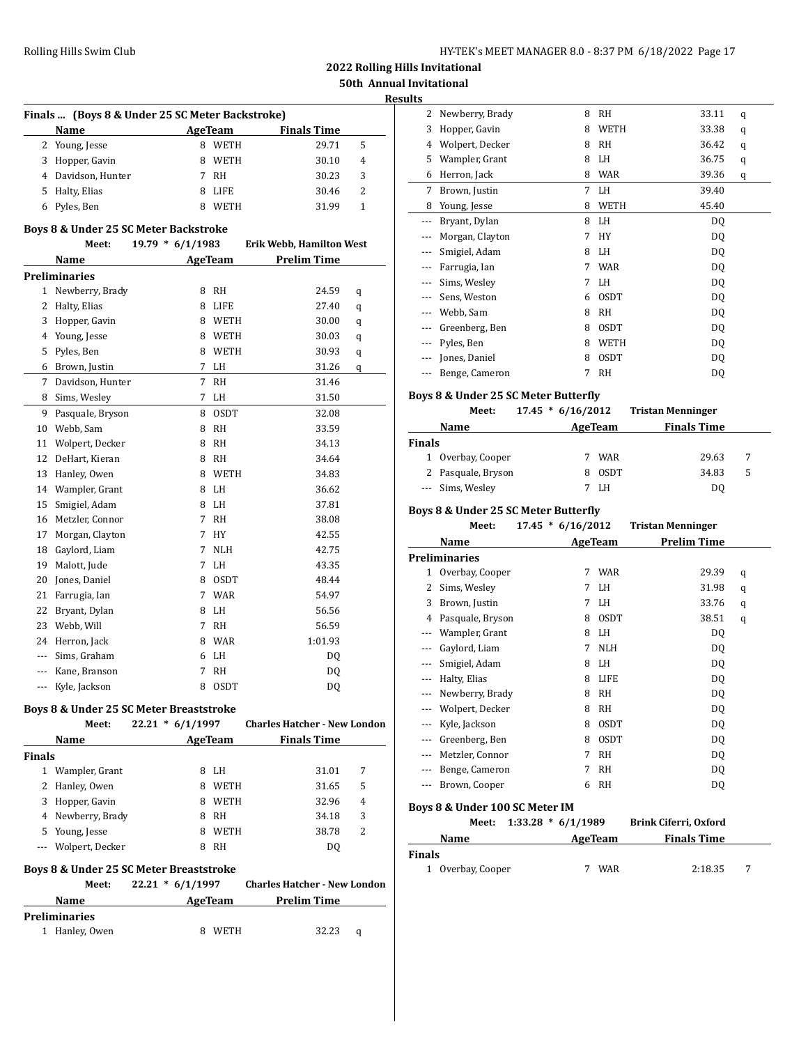**Results**

|                          | Finals  (Boys 8 & Under 25 SC Meter Backstroke) |                    |             |                                     |                |  |  |  |  |
|--------------------------|-------------------------------------------------|--------------------|-------------|-------------------------------------|----------------|--|--|--|--|
|                          | Name                                            |                    | AgeTeam     | <b>Finals Time</b>                  |                |  |  |  |  |
|                          | 2 Young, Jesse                                  |                    | 8 WETH      | 29.71                               | 5              |  |  |  |  |
|                          | 3 Hopper, Gavin                                 |                    | 8 WETH      | 30.10                               | 4              |  |  |  |  |
|                          | 4 Davidson, Hunter                              |                    | 7 RH        | 30.23                               | 3              |  |  |  |  |
|                          | 5 Halty, Elias                                  |                    | 8 LIFE      | 30.46                               | $\overline{c}$ |  |  |  |  |
|                          | 6 Pyles, Ben                                    |                    | 8 WETH      | 31.99                               | $\mathbf{1}$   |  |  |  |  |
|                          | Boys 8 & Under 25 SC Meter Backstroke           |                    |             |                                     |                |  |  |  |  |
|                          | Meet:                                           | $19.79 * 6/1/1983$ |             | Erik Webb, Hamilton West            |                |  |  |  |  |
|                          | Name                                            |                    | AgeTeam     | <b>Prelim Time</b>                  |                |  |  |  |  |
|                          | <b>Preliminaries</b>                            |                    |             |                                     |                |  |  |  |  |
|                          | 1 Newberry, Brady                               | 8                  | RH          | 24.59                               | q              |  |  |  |  |
|                          | 2 Halty, Elias                                  |                    | 8 LIFE      | 27.40                               | q              |  |  |  |  |
|                          | 3 Hopper, Gavin                                 |                    | 8 WETH      | 30.00                               | q              |  |  |  |  |
|                          | 4 Young, Jesse                                  |                    | 8 WETH      | 30.03                               | q              |  |  |  |  |
|                          | 5 Pyles, Ben                                    |                    | 8 WETH      | 30.93                               | q              |  |  |  |  |
|                          | 6 Brown, Justin                                 | 7                  | LH          | 31.26                               | q              |  |  |  |  |
|                          | 7 Davidson, Hunter                              | $\overline{7}$     | <b>RH</b>   | 31.46                               |                |  |  |  |  |
|                          | 8 Sims, Wesley                                  | 7                  | LH          | 31.50                               |                |  |  |  |  |
|                          | 9 Pasquale, Bryson                              | 8                  | <b>OSDT</b> | 32.08                               |                |  |  |  |  |
|                          | 10 Webb, Sam                                    | 8                  | RH          | 33.59                               |                |  |  |  |  |
|                          | 11 Wolpert, Decker                              | 8                  | RH          | 34.13                               |                |  |  |  |  |
|                          | 12 DeHart, Kieran                               | 8                  | RH          | 34.64                               |                |  |  |  |  |
|                          | 13 Hanley, Owen                                 | 8                  | WETH        | 34.83                               |                |  |  |  |  |
|                          | 14 Wampler, Grant                               | 8                  | LH          | 36.62                               |                |  |  |  |  |
| 15                       | Smigiel, Adam                                   | 8                  | LH          | 37.81                               |                |  |  |  |  |
| 16                       | Metzler, Connor                                 | $7^{\circ}$        | <b>RH</b>   | 38.08                               |                |  |  |  |  |
| 17                       | Morgan, Clayton                                 | 7                  | HY          | 42.55                               |                |  |  |  |  |
|                          | 18 Gaylord, Liam                                | 7                  | <b>NLH</b>  | 42.75                               |                |  |  |  |  |
|                          | 19 Malott, Jude                                 | 7                  | LH          | 43.35                               |                |  |  |  |  |
|                          | 20 Jones, Daniel                                | 8                  | <b>OSDT</b> | 48.44                               |                |  |  |  |  |
|                          | 21 Farrugia, Ian                                | 7                  | <b>WAR</b>  | 54.97                               |                |  |  |  |  |
|                          | 22 Bryant, Dylan                                | 8                  | LH          | 56.56                               |                |  |  |  |  |
|                          | 23 Webb, Will                                   | 7                  | <b>RH</b>   | 56.59                               |                |  |  |  |  |
|                          | 24 Herron, Jack                                 |                    | 8 WAR       | 1:01.93                             |                |  |  |  |  |
| $\overline{\phantom{a}}$ | Sims, Graham                                    |                    | 6 LH        | DQ                                  |                |  |  |  |  |
|                          | --- Kane, Branson                               | 7                  | RH          | DQ                                  |                |  |  |  |  |
|                          | --- Kyle, Jackson                               | 8                  | <b>OSDT</b> | DQ                                  |                |  |  |  |  |
|                          | Boys 8 & Under 25 SC Meter Breaststroke         |                    |             |                                     |                |  |  |  |  |
|                          | Meet:                                           | $22.21 * 6/1/1997$ |             | <b>Charles Hatcher - New London</b> |                |  |  |  |  |

| Name                |   | AgeTeam     | <b>Finals Time</b> |   |
|---------------------|---|-------------|--------------------|---|
| <b>Finals</b>       |   |             |                    |   |
| Wampler, Grant<br>1 | 8 | LH          | 31.01              | 7 |
| 2 Hanley, Owen      | 8 | <b>WETH</b> | 31.65              | 5 |
| Hopper, Gavin<br>3  | 8 | <b>WETH</b> | 32.96              | 4 |
| 4 Newberry, Brady   | 8 | RH          | 34.18              | 3 |
| 5 Young, Jesse      | 8 | <b>WETH</b> | 38.78              | 2 |
| --- Wolpert, Decker | 8 | RH          | D <sub>0</sub>     |   |
|                     |   |             |                    |   |

## **Boys 8 & Under 25 SC Meter Breaststroke**

| Meet:                | $22.21 * 6/1/1997$ | <b>Charles Hatcher - New London</b> |
|----------------------|--------------------|-------------------------------------|
| Name                 | AgeTeam            | <b>Prelim Time</b>                  |
| <b>Preliminaries</b> |                    |                                     |
| 1 Hanley, Owen       | WETH<br>я.         | 32.23<br>a                          |

| ultə |                      |   |             |       |   |
|------|----------------------|---|-------------|-------|---|
|      | Newberry, Brady<br>2 | 8 | RH          | 33.11 | q |
|      | 3<br>Hopper, Gavin   | 8 | <b>WETH</b> | 33.38 | q |
|      | Wolpert, Decker<br>4 | 8 | RH          | 36.42 | q |
|      | Wampler, Grant<br>5  | 8 | LH          | 36.75 | q |
|      | Herron, Jack<br>6    | 8 | <b>WAR</b>  | 39.36 | q |
|      | 7<br>Brown, Justin   | 7 | LH          | 39.40 |   |
|      | Young, Jesse<br>8    | 8 | WETH        | 45.40 |   |
| ---  | Bryant, Dylan        | 8 | LH          | DQ    |   |
| ---  | Morgan, Clayton      | 7 | HY          | DQ    |   |
| ---  | Smigiel, Adam        | 8 | LH          | DQ    |   |
| ---  | Farrugia, Ian        | 7 | WAR         | DQ    |   |
| ---  | Sims, Wesley         | 7 | LH          | DQ    |   |
| ---  | Sens, Weston         | 6 | <b>OSDT</b> | DQ    |   |
|      | Webb, Sam            | 8 | RH          | DQ    |   |
| ---  | Greenberg, Ben       | 8 | 0SDT        | DQ    |   |
| ---  | Pyles, Ben           | 8 | <b>WETH</b> | DQ    |   |
| ---  | Jones, Daniel        | 8 | <b>OSDT</b> | DQ    |   |
|      | Benge, Cameron       | 7 | <b>RH</b>   | DQ    |   |

## **Boys 8 & Under 25 SC Meter Butterfly**

|               | Meet:              | $17.45 * 6/16/2012$ |         | <b>Tristan Menninger</b> |   |
|---------------|--------------------|---------------------|---------|--------------------------|---|
|               | Name               |                     | AgeTeam | <b>Finals Time</b>       |   |
| <b>Finals</b> |                    |                     |         |                          |   |
|               | 1 Overbay, Cooper  |                     | WAR     | 29.63                    |   |
|               | 2 Pasquale, Bryson |                     | 0SDT    | 34.83                    | 5 |
|               | --- Sims, Wesley   |                     | LH.     | D0                       |   |

## **Boys 8 & Under 25 SC Meter Butterfly**

|              | Meet:                          |                      | $17.45 * 6/16/2012$ |                | <b>Tristan Menninger</b> |   |
|--------------|--------------------------------|----------------------|---------------------|----------------|--------------------------|---|
|              | Name                           |                      |                     | <b>AgeTeam</b> | <b>Prelim Time</b>       |   |
|              | Preliminaries                  |                      |                     |                |                          |   |
| $\mathbf{1}$ | Overbay, Cooper                |                      | 7                   | <b>WAR</b>     | 29.39                    | q |
| 2            | Sims, Wesley                   |                      | 7                   | LH             | 31.98                    | q |
| 3            | Brown, Justin                  |                      | 7                   | LH.            | 33.76                    | q |
| 4            | Pasquale, Bryson               |                      | 8                   | <b>OSDT</b>    | 38.51                    | q |
| ---          | Wampler, Grant                 |                      | 8                   | LH.            | D <sub>0</sub>           |   |
| ---          | Gaylord, Liam                  |                      | 7                   | <b>NLH</b>     | D <sub>0</sub>           |   |
| ---          | Smigiel, Adam                  |                      | 8                   | LH             | D <sub>0</sub>           |   |
| ---          | Halty, Elias                   |                      | 8                   | <b>LIFE</b>    | D <sub>0</sub>           |   |
| ---          | Newberry, Brady                |                      | 8                   | <b>RH</b>      | DQ                       |   |
|              | Wolpert, Decker                |                      | 8                   | <b>RH</b>      | D <sub>0</sub>           |   |
| ---          | Kyle, Jackson                  |                      | 8                   | <b>OSDT</b>    | D <sub>0</sub>           |   |
| ---          | Greenberg, Ben                 |                      | 8                   | <b>OSDT</b>    | DQ                       |   |
|              | Metzler, Connor                |                      | 7                   | <b>RH</b>      | D <sub>0</sub>           |   |
| ---          | Benge, Cameron                 |                      | 7                   | <b>RH</b>      | D <sub>0</sub>           |   |
| ---          | Brown, Cooper                  |                      | 6                   | <b>RH</b>      | DQ                       |   |
|              | Boys 8 & Under 100 SC Meter IM |                      |                     |                |                          |   |
|              | Meet:                          | $1:33.28 * 6/1/1989$ |                     |                | Brink Ciferri, Oxford    |   |
|              | Name                           |                      |                     | <b>AgeTeam</b> | <b>Finals Time</b>       |   |
| Finals       |                                |                      |                     |                |                          |   |
| 1            | Overbay, Cooper                |                      | 7                   | <b>WAR</b>     | 2:18.35                  | 7 |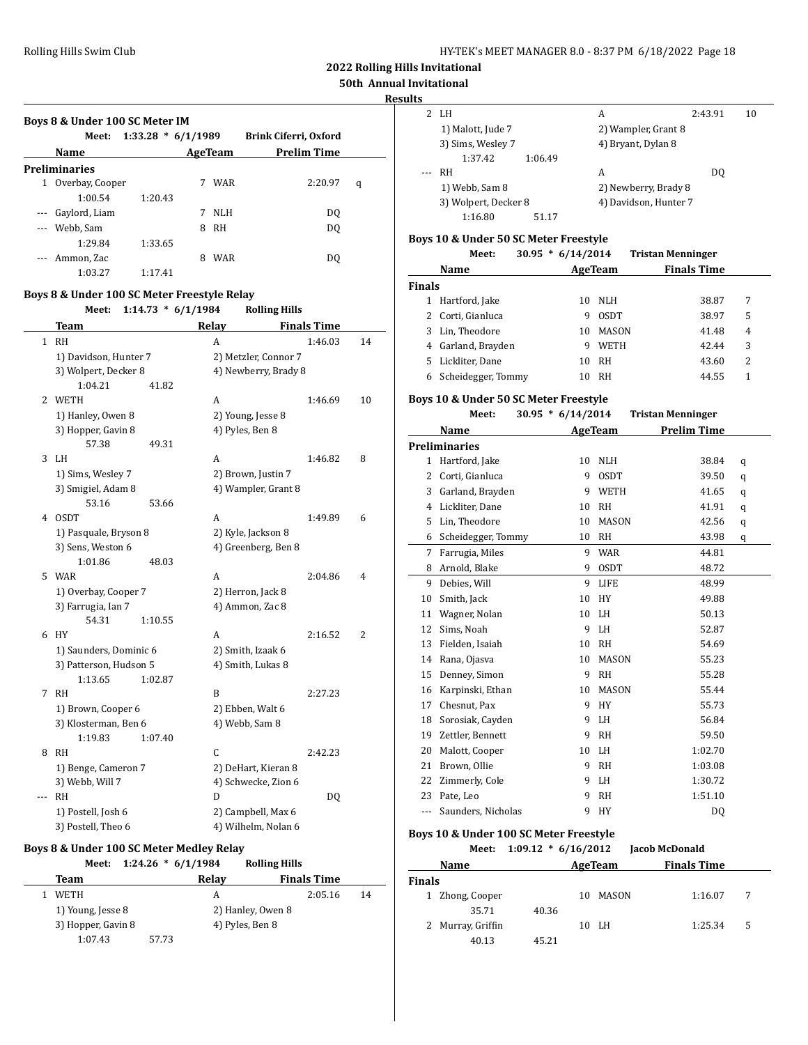**Preliminaries**

**2022 Rolling Hills Invitational**

# **50th Annual Invitational**

| LH                   |         | A                     | 2:43.91 | 10 |
|----------------------|---------|-----------------------|---------|----|
| 1) Malott, Jude 7    |         | 2) Wampler, Grant 8   |         |    |
| 3) Sims, Wesley 7    |         | 4) Bryant, Dylan 8    |         |    |
| 1:37.42              | 1:06.49 |                       |         |    |
| <b>RH</b>            |         | А                     | DO.     |    |
| 1) Webb, Sam 8       |         | 2) Newberry, Brady 8  |         |    |
| 3) Wolpert, Decker 8 |         | 4) Davidson, Hunter 7 |         |    |
| 1:16.80              | 5117    |                       |         |    |
|                      |         |                       |         |    |

## **Boys 10 & Under 50 SC Meter Freestyle**

|               | Meet:              | $30.95 * 6/14/2014$ |         |              | <b>Tristan Menninger</b> |   |
|---------------|--------------------|---------------------|---------|--------------|--------------------------|---|
|               | Name               |                     | AgeTeam |              | <b>Finals Time</b>       |   |
| <b>Finals</b> |                    |                     |         |              |                          |   |
|               | Hartford, Jake     |                     | 10      | NLH          | 38.87                    | 7 |
|               | Corti, Gianluca    |                     | 9       | <b>OSDT</b>  | 38.97                    | 5 |
| 3             | Lin, Theodore      |                     | 10      | <b>MASON</b> | 41.48                    | 4 |
| 4             | Garland, Brayden   |                     | 9       | <b>WETH</b>  | 42.44                    | 3 |
| 5.            | Lickliter, Dane    |                     | 10      | <b>RH</b>    | 43.60                    | 2 |
|               | Scheidegger, Tommy |                     | 10      | <b>RH</b>    | 44.55                    |   |

## **Boys 10 & Under 50 SC Meter Freestyle**

|              | Meet:                | $30.95 * 6/14/2014$ |                | <b>Tristan Menninger</b> |   |
|--------------|----------------------|---------------------|----------------|--------------------------|---|
|              | Name                 |                     | <b>AgeTeam</b> | <b>Prelim Time</b>       |   |
|              | <b>Preliminaries</b> |                     |                |                          |   |
| $\mathbf{1}$ | Hartford, Jake       | 10                  | <b>NLH</b>     | 38.84                    | q |
| 2            | Corti, Gianluca      | 9                   | <b>OSDT</b>    | 39.50                    | q |
| 3            | Garland, Brayden     | 9                   | WETH           | 41.65                    | q |
| 4            | Lickliter, Dane      | 10                  | RH             | 41.91                    | q |
| 5            | Lin, Theodore        | 10                  | <b>MASON</b>   | 42.56                    | q |
| 6            | Scheidegger, Tommy   | 10                  | RH             | 43.98                    | q |
| 7            | Farrugia, Miles      | 9                   | <b>WAR</b>     | 44.81                    |   |
| 8            | Arnold, Blake        | 9                   | <b>OSDT</b>    | 48.72                    |   |
| 9            | Debies, Will         | 9                   | <b>LIFE</b>    | 48.99                    |   |
| 10           | Smith, Jack          | 10                  | HY             | 49.88                    |   |
| 11           | Wagner, Nolan        | 10                  | LH             | 50.13                    |   |
| 12           | Sims, Noah           | 9                   | LH             | 52.87                    |   |
| 13           | Fielden, Isaiah      | 10                  | <b>RH</b>      | 54.69                    |   |
| 14           | Rana, Ojasva         | 10                  | <b>MASON</b>   | 55.23                    |   |
| 15           | Denney, Simon        | 9                   | <b>RH</b>      | 55.28                    |   |
| 16           | Karpinski, Ethan     | 10                  | <b>MASON</b>   | 55.44                    |   |
| 17           | Chesnut, Pax         | 9                   | HY             | 55.73                    |   |
| 18           | Sorosiak, Cayden     | 9                   | LH             | 56.84                    |   |
| 19           | Zettler, Bennett     | 9                   | RH             | 59.50                    |   |
| 20           | Malott, Cooper       | 10                  | LH             | 1:02.70                  |   |
| 21           | Brown, Ollie         | 9                   | RH             | 1:03.08                  |   |
| 22           | Zimmerly, Cole       | 9                   | LH             | 1:30.72                  |   |
| 23           | Pate, Leo            | 9                   | RH             | 1:51.10                  |   |
| ---          | Saunders, Nicholas   | 9                   | HY             | DQ                       |   |
|              |                      |                     |                |                          |   |

#### **Boys 10 & Under 100 SC Meter Freestyle Meet: 1:09.12 \* 6/16/2012 Jacob McDonald**

l,

|        | Meet:             | 1:09.12 * 6/16/2012 |    |         | Jacob McDonald     |   |  |
|--------|-------------------|---------------------|----|---------|--------------------|---|--|
|        | Name              |                     |    | AgeTeam | <b>Finals Time</b> |   |  |
| Finals |                   |                     |    |         |                    |   |  |
|        | Zhong, Cooper     |                     | 10 | MASON   | 1:16.07            |   |  |
|        | 35.71             | 40.36               |    |         |                    |   |  |
|        | 2 Murray, Griffin |                     | 10 | LH      | 1:25.34            | 5 |  |
|        | 40.13             | 45.21               |    |         |                    |   |  |

#### 1:00.54 1:20.43 -- Gaylord, Liam 7 NLH DQ

**Boys 8 & Under 100 SC Meter IM**

| --- Webb, Sam  |         | 8 RH      | D0 |
|----------------|---------|-----------|----|
| 1:29.84        | 1:33.65 |           |    |
| --- Ammon, Zac |         | WAR<br>я. | DO |
| 1:03.27        | 1:17.41 |           |    |
|                |         |           |    |

**Meet: 1:33.28 \* 6/1/1989 Brink Ciferri, Oxford Name Age Team Prelim Time** 

1 Overbay, Cooper 7 WAR 2:20.97 q

## **Boys 8 & Under 100 SC Meter Freestyle Relay**

|   | Meet:                        | $1:14.73 * 6/1/1984$ |       | <b>Rolling Hills</b>                       |    |
|---|------------------------------|----------------------|-------|--------------------------------------------|----|
|   | Team                         |                      | Relay | <b>Finals Time</b>                         |    |
| 1 | RH                           |                      | A     | 1:46.03                                    | 14 |
|   | 1) Davidson, Hunter 7        |                      |       | 2) Metzler, Connor 7                       |    |
|   | 3) Wolpert, Decker 8         |                      |       | 4) Newberry, Brady 8                       |    |
|   | 1:04.21                      | 41.82                |       |                                            |    |
| 2 | <b>WETH</b>                  |                      | A     | 1:46.69                                    | 10 |
|   | 1) Hanley, Owen 8            |                      |       | 2) Young, Jesse 8                          |    |
|   | 3) Hopper, Gavin 8           |                      |       | 4) Pyles, Ben 8                            |    |
|   | 57.38                        | 49.31                |       |                                            |    |
| 3 | LH                           |                      | A     | 1:46.82                                    | 8  |
|   | 1) Sims, Wesley 7            |                      |       | 2) Brown, Justin 7                         |    |
|   | 3) Smigiel, Adam 8           |                      |       | 4) Wampler, Grant 8                        |    |
|   | 53.16                        | 53.66                |       |                                            |    |
| 4 | <b>OSDT</b>                  |                      | A     | 1:49.89                                    | 6  |
|   | 1) Pasquale, Bryson 8        |                      |       | 2) Kyle, Jackson 8                         |    |
|   | 3) Sens, Weston 6            |                      |       | 4) Greenberg, Ben 8                        |    |
|   | 1:01.86                      | 48.03                |       |                                            |    |
| 5 | <b>WAR</b>                   |                      | A     | 2:04.86                                    | 4  |
|   | 1) Overbay, Cooper 7         |                      |       | 2) Herron, Jack 8                          |    |
|   | 3) Farrugia, Ian 7           |                      |       | 4) Ammon, Zac 8                            |    |
|   | 54.31                        | 1:10.55              |       |                                            |    |
| 6 | HY                           |                      | A     | 2:16.52                                    | 2  |
|   | 1) Saunders, Dominic 6       |                      |       | 2) Smith, Izaak 6                          |    |
|   | 3) Patterson, Hudson 5       |                      |       | 4) Smith, Lukas 8                          |    |
|   | 1:13.65                      | 1:02.87              |       |                                            |    |
| 7 | <b>RH</b>                    |                      | B     | 2:27.23                                    |    |
|   | 1) Brown, Cooper 6           |                      |       | 2) Ebben, Walt 6                           |    |
|   | 3) Klosterman, Ben 6         |                      |       | 4) Webb, Sam 8                             |    |
| 8 | 1:19.83<br><b>RH</b>         | 1:07.40              | C     |                                            |    |
|   |                              |                      |       | 2:42.23                                    |    |
|   | 1) Benge, Cameron 7          |                      |       | 2) DeHart, Kieran 8<br>4) Schwecke, Zion 6 |    |
|   | 3) Webb, Will 7<br><b>RH</b> |                      | D     | DQ                                         |    |
|   | 1) Postell, Josh 6           |                      |       | 2) Campbell, Max 6                         |    |
|   | 3) Postell, Theo 6           |                      |       | 4) Wilhelm, Nolan 6                        |    |

# **Boys 8 & Under 100 SC Meter Medley Relay**

| Meet:              |       | $1:24.26 * 6/1/1984$ | <b>Rolling Hills</b> |    |
|--------------------|-------|----------------------|----------------------|----|
| Team               |       | Relay                | <b>Finals Time</b>   |    |
| <b>WETH</b>        |       | А                    | 2:05.16              | 14 |
| 1) Young, Jesse 8  |       |                      | 2) Hanley, Owen 8    |    |
| 3) Hopper, Gavin 8 |       |                      | 4) Pyles, Ben 8      |    |
| 1:07.43            | 57.73 |                      |                      |    |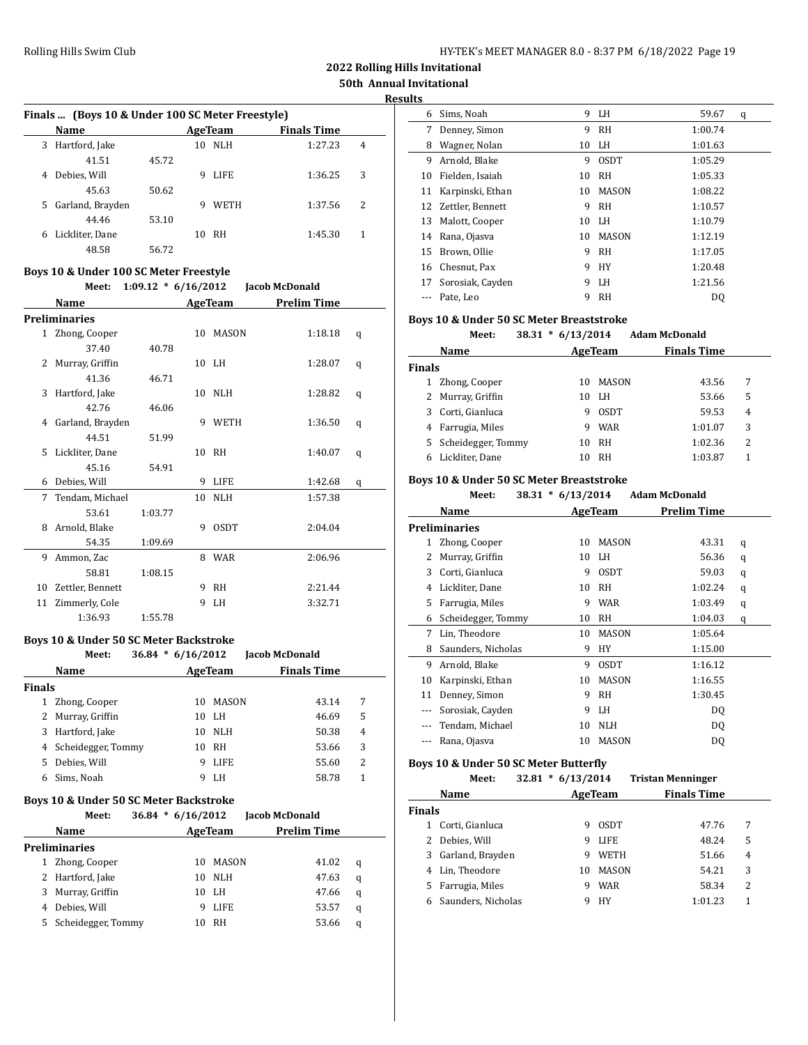**Results**

#### **Finals ... (Boys 10 & Under 100 SC Meter Freestyle)**

|    | <b>Name</b>      |       |    | AgeTeam     | <b>Finals Time</b> |   |  |
|----|------------------|-------|----|-------------|--------------------|---|--|
| 3  | Hartford, Jake   |       | 10 | <b>NLH</b>  | 1:27.23            | 4 |  |
|    | 41.51            | 45.72 |    |             |                    |   |  |
| 4  | Debies, Will     |       | 9  | LIFE        | 1:36.25            | 3 |  |
|    | 45.63            | 50.62 |    |             |                    |   |  |
| 5. | Garland, Brayden |       | 9  | <b>WETH</b> | 1:37.56            | 2 |  |
|    | 44.46            | 53.10 |    |             |                    |   |  |
| 6  | Lickliter, Dane  |       | 10 | RH          | 1:45.30            | 1 |  |
|    | 48.58            | 56.72 |    |             |                    |   |  |

#### **Boys 10 & Under 100 SC Meter Freestyle**

|    | Meet:                | $1:09.12 * 6/16/2012$ |    |                | Jacob McDonald     |   |
|----|----------------------|-----------------------|----|----------------|--------------------|---|
|    | Name                 |                       |    | <b>AgeTeam</b> | <b>Prelim Time</b> |   |
|    | <b>Preliminaries</b> |                       |    |                |                    |   |
|    | 1 Zhong, Cooper      |                       | 10 | <b>MASON</b>   | 1:18.18            | q |
|    | 37.40                | 40.78                 |    |                |                    |   |
| 2  | Murray, Griffin      |                       |    | 10 LH          | 1:28.07            | q |
|    | 41.36                | 46.71                 |    |                |                    |   |
| 3  | Hartford, Jake       |                       |    | 10 NLH         | 1:28.82            | q |
|    | 42.76                | 46.06                 |    |                |                    |   |
|    | 4 Garland, Brayden   |                       | 9  | WETH           | 1:36.50            | q |
|    | 44.51                | 51.99                 |    |                |                    |   |
|    | 5 Lickliter, Dane    |                       |    | 10 RH          | 1:40.07            | q |
|    | 45.16                | 54.91                 |    |                |                    |   |
| 6  | Debies, Will         |                       | 9  | LIFE           | 1:42.68            | q |
| 7  | Tendam, Michael      |                       | 10 | <b>NLH</b>     | 1:57.38            |   |
|    | 53.61                | 1:03.77               |    |                |                    |   |
| 8  | Arnold, Blake        |                       | 9  | <b>OSDT</b>    | 2:04.04            |   |
|    | 54.35                | 1:09.69               |    |                |                    |   |
| 9  | Ammon, Zac           |                       |    | 8 WAR          | 2:06.96            |   |
|    | 58.81                | 1:08.15               |    |                |                    |   |
| 10 | Zettler, Bennett     |                       | 9  | <b>RH</b>      | 2:21.44            |   |
| 11 | Zimmerly, Cole       |                       | 9  | LH             | 3:32.71            |   |
|    | 1:36.93              | 1:55.78               |    |                |                    |   |

#### **Boys 10 & Under 50 SC Meter Backstroke**

| Meet:           |    |                             |                                  |                       |
|-----------------|----|-----------------------------|----------------------------------|-----------------------|
| Name            |    |                             | <b>Finals Time</b>               |                       |
| <b>Finals</b>   |    |                             |                                  |                       |
| Zhong, Cooper   | 10 | <b>MASON</b>                | 43.14                            | 7                     |
| Murray, Griffin | 10 | LH.                         | 46.69                            | 5                     |
| Hartford, Jake  | 10 | NLH                         | 50.38                            | 4                     |
|                 | 10 |                             | 53.66                            | 3                     |
| Debies, Will    | q  | LIFE                        | 55.60                            | 2                     |
| Sims, Noah      | ч  | LH.                         | 58.78                            | 1                     |
|                 |    | 36.84<br>Scheidegger, Tommy | $* 6/16/2012$<br>AgeTeam<br>- RH | <b>Jacob McDonald</b> |

#### **Boys 10 & Under 50 SC Meter Backstroke**

|    | Meet:              | $36.84 * 6/16/2012$ |              | <b>Jacob McDonald</b> |   |
|----|--------------------|---------------------|--------------|-----------------------|---|
|    | <b>Name</b>        |                     | AgeTeam      | <b>Prelim Time</b>    |   |
|    | Preliminaries      |                     |              |                       |   |
|    | Zhong, Cooper      | 10                  | <b>MASON</b> | 41.02                 | q |
|    | 2 Hartford, Jake   | 10                  | NLH          | 47.63                 | q |
| 3  | Murray, Griffin    | 10                  | -LH          | 47.66                 | q |
|    | Debies, Will       | ч                   | LIFE         | 53.57                 | q |
| 5. | Scheidegger, Tommy | 10                  | RH           | 53.66                 | a |

| 6  | Sims, Noah          | 9  | LH           | 59.67   | q |
|----|---------------------|----|--------------|---------|---|
| 7  | Denney, Simon       | 9  | <b>RH</b>    | 1:00.74 |   |
| 8  | Wagner, Nolan       |    | 10 LH        | 1:01.63 |   |
| 9  | Arnold, Blake       | 9  | <b>OSDT</b>  | 1:05.29 |   |
| 10 | Fielden, Isaiah     | 10 | <b>RH</b>    | 1:05.33 |   |
| 11 | Karpinski, Ethan    | 10 | <b>MASON</b> | 1:08.22 |   |
|    | 12 Zettler, Bennett | 9  | RH           | 1:10.57 |   |
| 13 | Malott, Cooper      | 10 | LH.          | 1:10.79 |   |
| 14 | Rana, Ojasva        | 10 | <b>MASON</b> | 1:12.19 |   |
| 15 | Brown, Ollie        | 9  | <b>RH</b>    | 1:17.05 |   |
| 16 | Chesnut, Pax        | 9  | HY           | 1:20.48 |   |
| 17 | Sorosiak, Cayden    | 9  | LH.          | 1:21.56 |   |
|    | Pate, Leo           | 9  | <b>RH</b>    | DO      |   |

## **Boys 10 & Under 50 SC Meter Breaststroke**

|               | Meet:              | $* 6/13/2014$<br>38.31 |             | <b>Adam McDonald</b> |                |
|---------------|--------------------|------------------------|-------------|----------------------|----------------|
|               | Name               |                        | AgeTeam     | <b>Finals Time</b>   |                |
| <b>Finals</b> |                    |                        |             |                      |                |
|               | Zhong, Cooper      | 10                     | MASON       | 43.56                | 7              |
|               | Murray, Griffin    | 10                     | LH.         | 53.66                | 5              |
| 3             | Corti, Gianluca    | 9                      | <b>OSDT</b> | 59.53                | $\overline{4}$ |
| 4             | Farrugia, Miles    | 9                      | <b>WAR</b>  | 1:01.07              | 3              |
| 5.            | Scheidegger, Tommy | 10                     | <b>RH</b>   | 1:02.36              | 2              |
| 6             | Lickliter, Dane    | 10                     | RH          | 1:03.87              | 1              |

## **Boys 10 & Under 50 SC Meter Breaststroke**

| Meet: |  | $38.31 * 6/13/2014$ |  | <b>Adam McDonald</b> |  |
|-------|--|---------------------|--|----------------------|--|
|       |  |                     |  |                      |  |

|      | Name                 |    | AgeTeam      | <b>Prelim Time</b> |   |
|------|----------------------|----|--------------|--------------------|---|
|      | <b>Preliminaries</b> |    |              |                    |   |
| 1    | Zhong, Cooper        | 10 | <b>MASON</b> | 43.31              | q |
| 2    | Murray, Griffin      | 10 | LH           | 56.36              | q |
| 3    | Corti, Gianluca      | 9  | <b>OSDT</b>  | 59.03              | q |
| 4    | Lickliter, Dane      | 10 | RH           | 1:02.24            | q |
| 5    | Farrugia, Miles      | 9  | <b>WAR</b>   | 1:03.49            | q |
| 6    | Scheidegger, Tommy   | 10 | RH           | 1:04.03            | q |
| 7    | Lin, Theodore        | 10 | <b>MASON</b> | 1:05.64            |   |
| 8    | Saunders, Nicholas   | 9  | HY           | 1:15.00            |   |
| 9    | Arnold, Blake        | 9  | <b>OSDT</b>  | 1:16.12            |   |
| 10   | Karpinski, Ethan     | 10 | <b>MASON</b> | 1:16.55            |   |
| 11   | Denney, Simon        | 9  | RH           | 1:30.45            |   |
|      | Sorosiak, Cayden     | 9  | LH           | DO.                |   |
| $--$ | Tendam, Michael      | 10 | <b>NLH</b>   | DQ                 |   |
|      | Rana, Ojasva         | 10 | <b>MASON</b> | DQ                 |   |
|      |                      |    |              |                    |   |

#### **Boys 10 & Under 50 SC Meter Butterfly**

|               | Meet:              | $32.81 * 6/13/2014$ |              | <b>Tristan Menninger</b> |                |
|---------------|--------------------|---------------------|--------------|--------------------------|----------------|
|               | Name               | AgeTeam             |              | <b>Finals Time</b>       |                |
| <b>Finals</b> |                    |                     |              |                          |                |
|               | Corti, Gianluca    | 9                   | 0SDT         | 47.76                    | 7              |
|               | Debies, Will       | 9                   | LIFE         | 48.24                    | 5              |
| 3             | Garland, Brayden   | 9                   | <b>WETH</b>  | 51.66                    | $\overline{4}$ |
| 4             | Lin, Theodore      | 10                  | <b>MASON</b> | 54.21                    | 3              |
| 5.            | Farrugia, Miles    | 9                   | <b>WAR</b>   | 58.34                    | 2              |
|               | Saunders, Nicholas |                     | HY           | 1:01.23                  | 1              |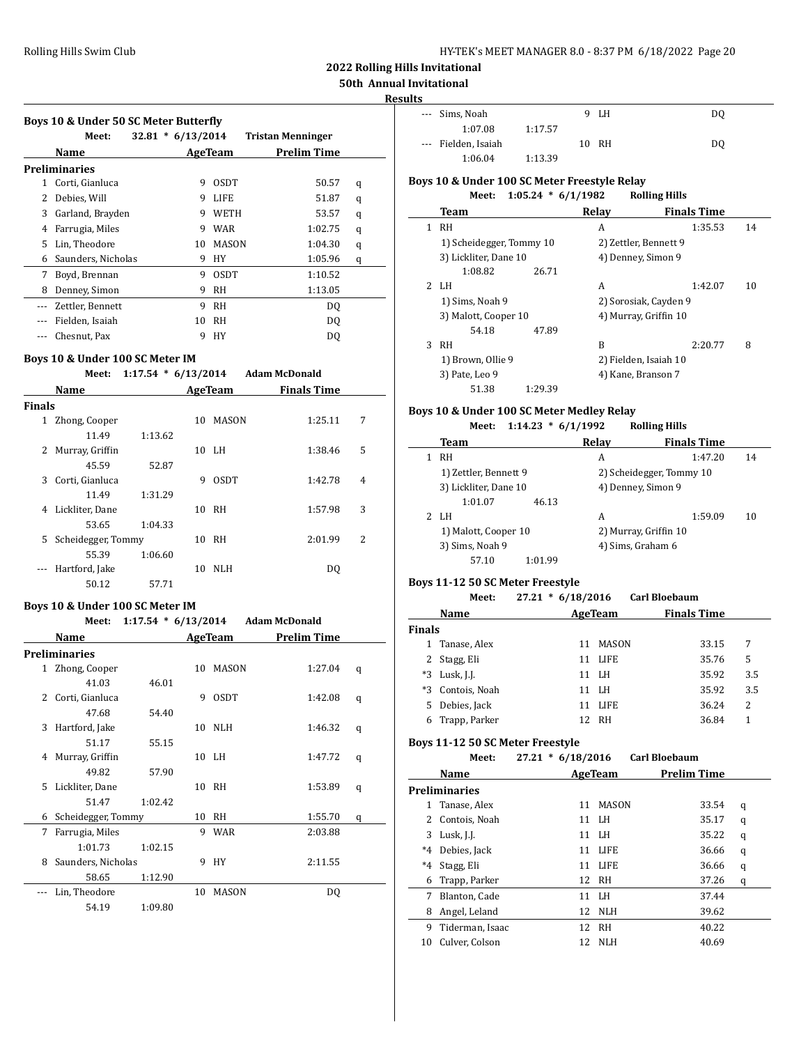## **50th Annual Invitational**

## **Results**

 $\overline{\phantom{a}}$ 

| Boys 10 & Under 50 SC Meter Butterfly |                                                          |    |              |                    |   |  |  |  |  |
|---------------------------------------|----------------------------------------------------------|----|--------------|--------------------|---|--|--|--|--|
|                                       | $32.81 * 6/13/2014$<br>Meet:<br><b>Tristan Menninger</b> |    |              |                    |   |  |  |  |  |
|                                       | Name                                                     |    | AgeTeam      | <b>Prelim Time</b> |   |  |  |  |  |
|                                       | <b>Preliminaries</b>                                     |    |              |                    |   |  |  |  |  |
| 1                                     | Corti, Gianluca                                          | 9  | <b>OSDT</b>  | 50.57              | q |  |  |  |  |
| 2                                     | Debies, Will                                             | 9  | LIFE         | 51.87              | q |  |  |  |  |
| 3                                     | Garland, Brayden                                         | 9  | <b>WETH</b>  | 53.57              | q |  |  |  |  |
| 4                                     | Farrugia, Miles                                          | 9  | WAR          | 1:02.75            | q |  |  |  |  |
| 5.                                    | Lin, Theodore                                            | 10 | <b>MASON</b> | 1:04.30            | q |  |  |  |  |
| 6                                     | Saunders, Nicholas                                       | 9  | HY           | 1:05.96            | q |  |  |  |  |
| 7                                     | Boyd, Brennan                                            | 9  | <b>OSDT</b>  | 1:10.52            |   |  |  |  |  |
| 8                                     | Denney, Simon                                            | 9  | RH           | 1:13.05            |   |  |  |  |  |
|                                       | Zettler, Bennett                                         | 9  | RH           | DO.                |   |  |  |  |  |
|                                       | Fielden, Isaiah                                          | 10 | RH           | DO.                |   |  |  |  |  |
|                                       | Chesnut, Pax                                             | 9  | HY           | DQ                 |   |  |  |  |  |

#### **Boys 10 & Under 100 SC Meter IM**

|               | Meet:              | $1:17.54 * 6/13/2014$ |    |              | <b>Adam McDonald</b> |   |
|---------------|--------------------|-----------------------|----|--------------|----------------------|---|
|               | Name               |                       |    | AgeTeam      | <b>Finals Time</b>   |   |
| <b>Finals</b> |                    |                       |    |              |                      |   |
| 1             | Zhong, Cooper      |                       | 10 | <b>MASON</b> | 1:25.11              | 7 |
|               | 11.49              | 1:13.62               |    |              |                      |   |
| 2             | Murray, Griffin    |                       |    | 10 LH        | 1:38.46              | 5 |
|               | 45.59              | 52.87                 |    |              |                      |   |
| 3             | Corti, Gianluca    |                       | 9  | <b>OSDT</b>  | 1:42.78              | 4 |
|               | 11.49              | 1:31.29               |    |              |                      |   |
| 4             | Lickliter, Dane    |                       | 10 | <b>RH</b>    | 1:57.98              | 3 |
|               | 53.65              | 1:04.33               |    |              |                      |   |
| 5.            | Scheidegger, Tommy |                       | 10 | <b>RH</b>    | 2:01.99              | 2 |
|               | 55.39              | 1:06.60               |    |              |                      |   |
|               | Hartford, Jake     |                       | 10 | NLH          | DO                   |   |
|               | 50.12              | 57.71                 |    |              |                      |   |

#### **Boys 10 & Under 100 SC Meter IM**

|              | Meet:              | $1:17.54 * 6/13/2014$ |    |                | <b>Adam McDonald</b> |   |
|--------------|--------------------|-----------------------|----|----------------|----------------------|---|
|              | Name               |                       |    | <b>AgeTeam</b> | Prelim Time          |   |
|              | Preliminaries      |                       |    |                |                      |   |
| $\mathbf{1}$ | Zhong, Cooper      |                       | 10 | <b>MASON</b>   | 1:27.04              | q |
|              | 41.03              | 46.01                 |    |                |                      |   |
| 2            | Corti, Gianluca    |                       | 9  | <b>OSDT</b>    | 1:42.08              | q |
|              | 47.68              | 54.40                 |    |                |                      |   |
| 3            | Hartford, Jake     |                       | 10 | <b>NLH</b>     | 1:46.32              | q |
|              | 51.17              | 55.15                 |    |                |                      |   |
| 4            | Murray, Griffin    |                       |    | 10 LH          | 1:47.72              | q |
|              | 49.82              | 57.90                 |    |                |                      |   |
| 5.           | Lickliter, Dane    |                       | 10 | <b>RH</b>      | 1:53.89              | q |
|              | 51.47              | 1:02.42               |    |                |                      |   |
| 6            | Scheidegger, Tommy |                       | 10 | <b>RH</b>      | 1:55.70              | q |
| 7            | Farrugia, Miles    |                       | 9  | WAR            | 2:03.88              |   |
|              | 1:01.73            | 1:02.15               |    |                |                      |   |
| 8            | Saunders, Nicholas |                       | 9  | HY             | 2:11.55              |   |
|              | 58.65              | 1:12.90               |    |                |                      |   |
| ---          | Lin, Theodore      |                       | 10 | <b>MASON</b>   | DO.                  |   |
|              | 54.19              | 1:09.80               |    |                |                      |   |

| . |                     |         |       |    |  |
|---|---------------------|---------|-------|----|--|
|   | --- Sims, Noah      |         | 9 LH  | D0 |  |
|   | 1:07.08             | 1:17.57 |       |    |  |
|   | --- Fielden, Isaiah |         | 10 RH | D0 |  |
|   | 1:06.04             | 1:13.39 |       |    |  |

#### **Boys 10 & Under 100 SC Meter Freestyle Relay**

#### **Meet: 1:05.24 \* 6/1/1982 Rolling Hills**

|   | <b>Team</b>              |         | Relay              | <b>Finals Time</b>    |    |
|---|--------------------------|---------|--------------------|-----------------------|----|
| 1 | <b>RH</b>                |         | A                  | 1:35.53               | 14 |
|   | 1) Scheidegger, Tommy 10 |         |                    | 2) Zettler, Bennett 9 |    |
|   | 3) Lickliter, Dane 10    |         | 4) Denney, Simon 9 |                       |    |
|   | 1:08.82                  | 26.71   |                    |                       |    |
|   | 2 LH                     |         | A                  | 1:42.07               | 10 |
|   | 1) Sims, Noah 9          |         |                    | 2) Sorosiak, Cayden 9 |    |
|   | 3) Malott, Cooper 10     |         |                    | 4) Murray, Griffin 10 |    |
|   | 54.18                    | 47.89   |                    |                       |    |
| 3 | RH                       |         | B                  | 2:20.77               | 8  |
|   | 1) Brown, Ollie 9        |         |                    | 2) Fielden, Isaiah 10 |    |
|   | 3) Pate, Leo 9           |         | 4) Kane, Branson 7 |                       |    |
|   | 51.38                    | 1:29.39 |                    |                       |    |

#### **Boys 10 & Under 100 SC Meter Medley Relay**

| $1:14.23 * 6/1/1992$<br>Meet: |       | <b>Rolling Hills</b>     |    |
|-------------------------------|-------|--------------------------|----|
| <b>Team</b>                   | Relay | <b>Finals Time</b>       |    |
| RH                            | A     | 1:47.20                  | 14 |
| 1) Zettler, Bennett 9         |       | 2) Scheidegger, Tommy 10 |    |
| 3) Lickliter, Dane 10         |       | 4) Denney, Simon 9       |    |
| 1:01.07<br>46.13              |       |                          |    |
| LH.                           | A     | 1:59.09                  | 10 |
| 1) Malott, Cooper 10          |       | 2) Murray, Griffin 10    |    |
| 3) Sims, Noah 9               |       | 4) Sims, Graham 6        |    |
| 57.10<br>1:01.99              |       |                          |    |

## **Boys 11-12 50 SC Meter Freestyle**

|               | Meet:         | $27.21 * 6/18/2016$ |             | <b>Carl Bloebaum</b> |     |
|---------------|---------------|---------------------|-------------|----------------------|-----|
|               | Name          |                     | AgeTeam     | <b>Finals Time</b>   |     |
| <b>Finals</b> |               |                     |             |                      |     |
|               | Tanase, Alex  | 11                  | MASON       | 33.15                | 7   |
|               | 2 Stagg, Eli  | 11                  | <b>LIFE</b> | 35.76                | 5   |
| *3            | Lusk, I.J.    | 11                  | - LH        | 35.92                | 3.5 |
| *3            | Contois, Noah | 11                  | LH          | 35.92                | 3.5 |
| 5.            | Debies, Jack  | 11                  | <b>LIFE</b> | 36.24                | 2   |
|               | Trapp, Parker | 12                  | RH          | 36.84                |     |

## **Boys 11-12 50 SC Meter Freestyle**

|         | Meet:                | $27.21 * 6/18/2016$ |    |              | <b>Carl Bloebaum</b> |   |  |
|---------|----------------------|---------------------|----|--------------|----------------------|---|--|
|         | Name                 |                     |    | AgeTeam      | Prelim Time          |   |  |
|         | <b>Preliminaries</b> |                     |    |              |                      |   |  |
| 1       | Tanase, Alex         |                     | 11 | <b>MASON</b> | 33.54                | q |  |
|         | 2 Contois, Noah      |                     |    | 11 LH        | 35.17                | q |  |
| 3       | Lusk, J.J.           |                     | 11 | LH.          | 35.22                | q |  |
| $*4$    | Debies, Jack         |                     | 11 | LIFE         | 36.66                | q |  |
| $*_{4}$ | Stagg, Eli           |                     | 11 | <b>LIFE</b>  | 36.66                | q |  |
| 6       | Trapp, Parker        |                     | 12 | RH           | 37.26                | q |  |
| 7       | Blanton, Cade        |                     | 11 | LH.          | 37.44                |   |  |
| 8       | Angel, Leland        |                     |    | 12 NLH       | 39.62                |   |  |
| 9       | Tiderman, Isaac      |                     | 12 | <b>RH</b>    | 40.22                |   |  |
| 10      | Culver, Colson       |                     | 12 | <b>NLH</b>   | 40.69                |   |  |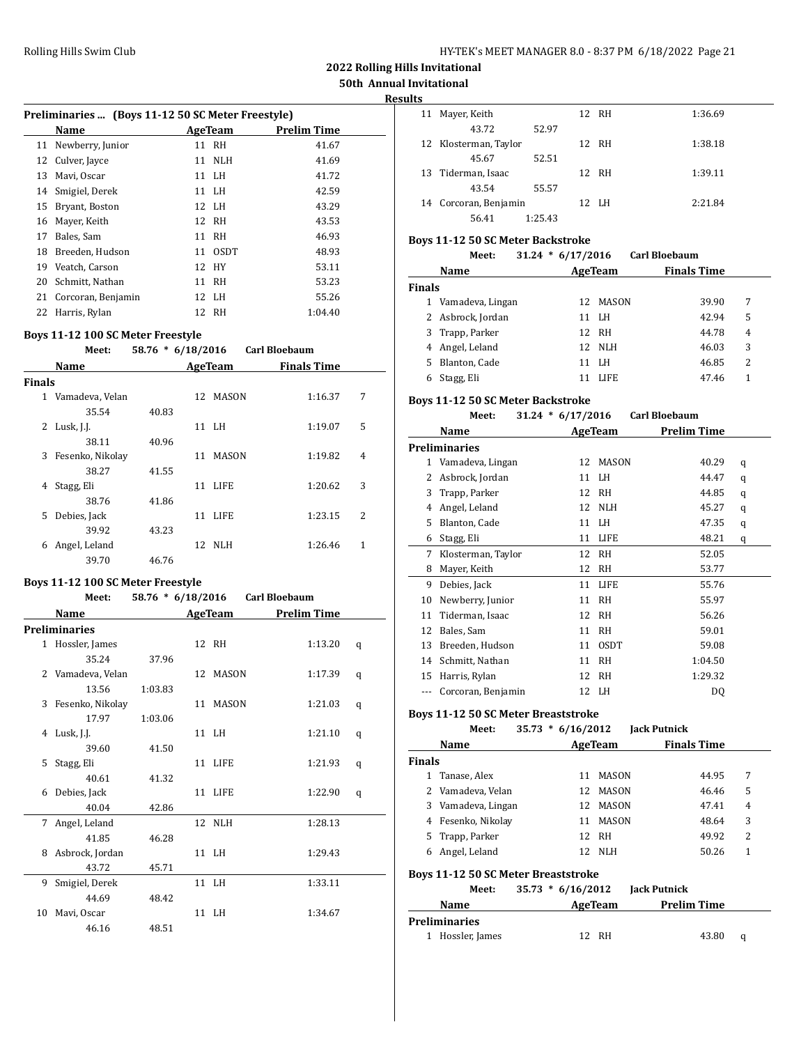**2022 Rolling Hills Invitational 50th Annual Invitational**

**Results**

|    | Preliminaries  (Boys 11-12 50 SC Meter Freestyle) |    |             |                    |  |
|----|---------------------------------------------------|----|-------------|--------------------|--|
|    | Name                                              |    | AgeTeam     | <b>Prelim Time</b> |  |
|    | 11 Newberry, Junior                               |    | 11 RH       | 41.67              |  |
|    | 12 Culver, Jayce                                  | 11 | NLH         | 41.69              |  |
| 13 | Mavi, Oscar                                       |    | 11 LH       | 41.72              |  |
|    | 14 Smigiel, Derek                                 |    | 11 LH       | 42.59              |  |
| 15 | Bryant, Boston                                    |    | 12 LH       | 43.29              |  |
| 16 | Maver, Keith                                      |    | 12 RH       | 43.53              |  |
| 17 | Bales, Sam                                        | 11 | <b>RH</b>   | 46.93              |  |
| 18 | Breeden, Hudson                                   | 11 | <b>OSDT</b> | 48.93              |  |
| 19 | Veatch, Carson                                    | 12 | HY          | 53.11              |  |
| 20 | Schmitt, Nathan                                   | 11 | <b>RH</b>   | 53.23              |  |
|    | 21 Corcoran, Benjamin                             |    | 12 LH       | 55.26              |  |
| 22 | Harris, Rylan                                     | 12 | RH          | 1:04.40            |  |

## **Boys 11-12 100 SC Meter Freestyle**

|               | Meet:            | 58.76 * 6/18/2016 |    |              | <b>Carl Bloebaum</b> |   |
|---------------|------------------|-------------------|----|--------------|----------------------|---|
|               | Name             |                   |    | AgeTeam      | <b>Finals Time</b>   |   |
| <b>Finals</b> |                  |                   |    |              |                      |   |
| 1             | Vamadeva, Velan  |                   | 12 | MASON        | 1:16.37              | 7 |
|               | 35.54            | 40.83             |    |              |                      |   |
| 2             | Lusk, J.J.       |                   |    | 11 LH        | 1:19.07              | 5 |
|               | 38.11            | 40.96             |    |              |                      |   |
| 3             | Fesenko, Nikolay |                   | 11 | <b>MASON</b> | 1:19.82              | 4 |
|               | 38.27            | 41.55             |    |              |                      |   |
| 4             | Stagg, Eli       |                   | 11 | LIFE         | 1:20.62              | 3 |
|               | 38.76            | 41.86             |    |              |                      |   |
| 5             | Debies, Jack     |                   | 11 | <b>LIFE</b>  | 1:23.15              | 2 |
|               | 39.92            | 43.23             |    |              |                      |   |
| 6             | Angel, Leland    |                   | 12 | NLH          | 1:26.46              | 1 |
|               | 39.70            | 46.76             |    |              |                      |   |

## **Boys 11-12 100 SC Meter Freestyle**

|              | Meet:                | 58.76 * 6/18/2016 |    |                | <b>Carl Bloebaum</b> |   |
|--------------|----------------------|-------------------|----|----------------|----------------------|---|
|              | Name                 |                   |    | <b>AgeTeam</b> | <b>Prelim Time</b>   |   |
|              | <b>Preliminaries</b> |                   |    |                |                      |   |
| $\mathbf{1}$ | Hossler, James       |                   |    | 12 RH          | 1:13.20              | q |
|              | 35.24                | 37.96             |    |                |                      |   |
| 2            | Vamadeva, Velan      |                   | 12 | <b>MASON</b>   | 1:17.39              | q |
|              | 13.56                | 1:03.83           |    |                |                      |   |
| 3            | Fesenko, Nikolay     |                   | 11 | <b>MASON</b>   | 1:21.03              | q |
|              | 17.97                | 1:03.06           |    |                |                      |   |
| 4            | Lusk, J.J.           |                   |    | 11 LH          | 1:21.10              | q |
|              | 39.60                | 41.50             |    |                |                      |   |
| 5            | Stagg, Eli           |                   |    | 11 LIFE        | 1:21.93              | q |
|              | 40.61                | 41.32             |    |                |                      |   |
| 6            | Debies, Jack         |                   |    | 11 LIFE        | 1:22.90              | q |
|              | 40.04                | 42.86             |    |                |                      |   |
| 7            | Angel, Leland        |                   |    | 12 NLH         | 1:28.13              |   |
|              | 41.85                | 46.28             |    |                |                      |   |
| 8            | Asbrock, Jordan      |                   |    | 11 LH          | 1:29.43              |   |
|              | 43.72                | 45.71             |    |                |                      |   |
| 9            | Smigiel, Derek       |                   |    | 11 LH          | 1:33.11              |   |
|              | 44.69                | 48.42             |    |                |                      |   |
| 10           | Mavi, Oscar          |                   |    | 11 LH          | 1:34.67              |   |
|              | 46.16                | 48.51             |    |                |                      |   |

| 11 | Mayer, Keith          |         | 12 RH | 1:36.69 |
|----|-----------------------|---------|-------|---------|
|    | 43.72                 | 52.97   |       |         |
|    | 12 Klosterman, Taylor |         | 12 RH | 1:38.18 |
|    | 45.67                 | 52.51   |       |         |
|    | 13 Tiderman, Isaac    |         | 12 RH | 1:39.11 |
|    | 43.54                 | 55.57   |       |         |
|    | 14 Corcoran, Benjamin |         | 12 LH | 2:21.84 |
|    | 56.41                 | 1:25.43 |       |         |

#### **Boys 11-12 50 SC Meter Backstroke**

|               | Meet:             | $31.24 * 6/17/2016$ |     |         | <b>Carl Bloebaum</b> |   |
|---------------|-------------------|---------------------|-----|---------|----------------------|---|
|               | Name              |                     |     | AgeTeam | <b>Finals Time</b>   |   |
| <b>Finals</b> |                   |                     |     |         |                      |   |
| 1             | Vamadeva, Lingan  |                     | 12. | MASON   | 39.90                | 7 |
|               | 2 Asbrock, Jordan |                     | 11  | - LH    | 42.94                | 5 |
|               | 3 Trapp, Parker   |                     |     | 12 RH   | 44.78                | 4 |
|               | 4 Angel, Leland   |                     |     | 12 NLH  | 46.03                | 3 |
| 5.            | Blanton, Cade     |                     | 11  | LH.     | 46.85                | 2 |
| 6             | Stagg, Eli        |                     |     | LIFE    | 47.46                |   |

## **Boys 11-12 50 SC Meter Backstroke**

|     | Meet:                | $31.24 * 6/17/2016$ |    |                | <b>Carl Bloebaum</b> |   |
|-----|----------------------|---------------------|----|----------------|----------------------|---|
|     | Name                 |                     |    | <b>AgeTeam</b> | <b>Prelim Time</b>   |   |
|     | <b>Preliminaries</b> |                     |    |                |                      |   |
| 1   | Vamadeva, Lingan     |                     | 12 | MASON          | 40.29                | q |
| 2   | Asbrock, Jordan      |                     | 11 | LH             | 44.47                | q |
| 3   | Trapp, Parker        |                     | 12 | RH             | 44.85                | q |
| 4   | Angel, Leland        |                     | 12 | <b>NLH</b>     | 45.27                | q |
| 5   | Blanton, Cade        |                     | 11 | LH             | 47.35                | q |
| 6   | Stagg, Eli           |                     | 11 | <b>LIFE</b>    | 48.21                | q |
| 7   | Klosterman, Taylor   |                     | 12 | RH             | 52.05                |   |
| 8   | Mayer, Keith         |                     | 12 | RH             | 53.77                |   |
| 9   | Debies, Jack         |                     | 11 | LIFE           | 55.76                |   |
| 10  | Newberry, Junior     |                     | 11 | <b>RH</b>      | 55.97                |   |
| 11  | Tiderman, Isaac      |                     | 12 | RH             | 56.26                |   |
| 12  | Bales, Sam           |                     | 11 | RH             | 59.01                |   |
| 13  | Breeden, Hudson      |                     | 11 | <b>OSDT</b>    | 59.08                |   |
| 14  | Schmitt, Nathan      |                     | 11 | <b>RH</b>      | 1:04.50              |   |
| 15  | Harris, Rylan        |                     | 12 | <b>RH</b>      | 1:29.32              |   |
| --- | Corcoran, Benjamin   |                     |    | 12 LH          | DQ                   |   |

## **Boys 11-12 50 SC Meter Breaststroke**

| $35.73 * 6/16/2012$<br>Meet: | <b>Jack Putnick</b> |
|------------------------------|---------------------|
|------------------------------|---------------------|

|                                            | Name                         | AgeTeam |              | <b>Finals Time</b> |                          |  |
|--------------------------------------------|------------------------------|---------|--------------|--------------------|--------------------------|--|
| <b>Finals</b>                              |                              |         |              |                    |                          |  |
|                                            | Tanase, Alex                 | 11      | <b>MASON</b> | 44.95              | 7                        |  |
| 2                                          | Vamadeva, Velan              | 12      | MASON        | 46.46              | 5                        |  |
| 3.                                         | Vamadeva, Lingan             | 12.     | MASON        | 47.41              | 4                        |  |
| 4                                          | Fesenko, Nikolay             | 11      | MASON        | 48.64              | 3                        |  |
| 5.                                         | Trapp, Parker                | 12      | - RH         | 49.92              | $\overline{\mathcal{L}}$ |  |
| 6                                          | Angel, Leland                |         | 12 NLH       | 50.26              | 1                        |  |
| <b>Boys 11-12 50 SC Meter Breaststroke</b> |                              |         |              |                    |                          |  |
|                                            | $35.73 * 6/16/2012$<br>Meet: |         |              | Jack Putnick       |                          |  |
|                                            | Name                         |         | AgeTeam      | <b>Prelim Time</b> |                          |  |
|                                            | <b>Preliminaries</b>         |         |              |                    |                          |  |
|                                            | Hossler, James               |         | 12 RH        | 43.80              | q                        |  |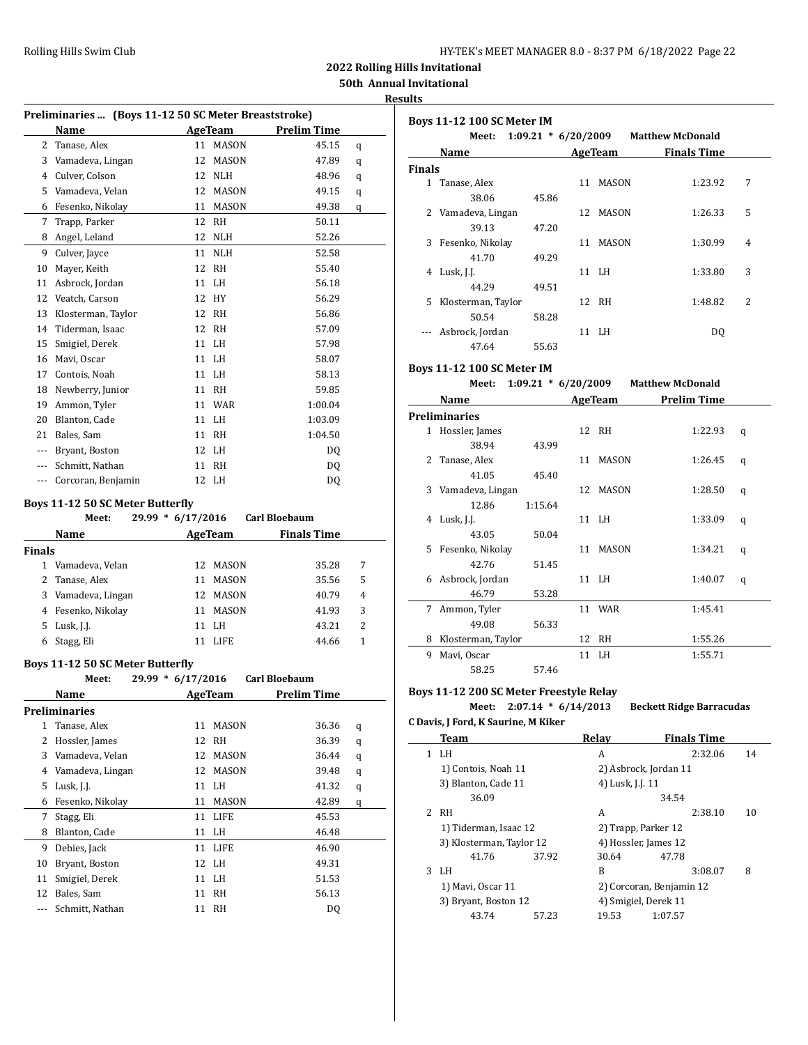| HY-TEK's MEET MANAGER 8.0 - 8:37 PM 6/18/2022 Page 22 |  |  |  |
|-------------------------------------------------------|--|--|--|
|-------------------------------------------------------|--|--|--|

**50th Annual Invitational**

#### **Results**

| Preliminaries  (Boys 11-12 50 SC Meter Breaststroke) |                                  |                   |                |                      |   |  |
|------------------------------------------------------|----------------------------------|-------------------|----------------|----------------------|---|--|
|                                                      | <b>Name</b>                      |                   | <b>AgeTeam</b> | <b>Prelim Time</b>   |   |  |
|                                                      | 2 Tanase, Alex                   | 11                | <b>MASON</b>   | 45.15                | q |  |
|                                                      | 3 Vamadeva, Lingan               |                   | 12 MASON       | 47.89                | q |  |
|                                                      | 4 Culver, Colson                 |                   | 12 NLH         | 48.96                | q |  |
|                                                      | 5 Vamadeva, Velan                |                   | 12 MASON       | 49.15                | q |  |
|                                                      | 6 Fesenko, Nikolay               |                   | 11 MASON       | 49.38                | q |  |
| $7^{\circ}$                                          | Trapp, Parker                    |                   | 12 RH          | 50.11                |   |  |
|                                                      | 8 Angel, Leland                  |                   | 12 NLH         | 52.26                |   |  |
|                                                      | 9 Culver, Jayce                  |                   | 11 NLH         | 52.58                |   |  |
| 10                                                   | Mayer, Keith                     |                   | 12 RH          | 55.40                |   |  |
|                                                      | 11 Asbrock, Jordan               | 11                | LH             | 56.18                |   |  |
|                                                      | 12 Veatch, Carson                |                   | 12 HY          | 56.29                |   |  |
| 13                                                   | Klosterman, Taylor               |                   | 12 RH          | 56.86                |   |  |
|                                                      | 14 Tiderman, Isaac               |                   | 12 RH          | 57.09                |   |  |
| 15                                                   | Smigiel, Derek                   |                   | 11 LH          | 57.98                |   |  |
|                                                      | 16 Mavi, Oscar                   |                   | 11 LH          | 58.07                |   |  |
|                                                      | 17 Contois, Noah                 | 11                | LH             | 58.13                |   |  |
|                                                      | 18 Newberry, Junior              |                   | 11 RH          | 59.85                |   |  |
|                                                      | 19 Ammon, Tyler                  |                   | 11 WAR         | 1:00.04              |   |  |
|                                                      | 20 Blanton, Cade                 |                   | 11 LH          | 1:03.09              |   |  |
| 21                                                   | Bales, Sam                       |                   | 11 RH          | 1:04.50              |   |  |
|                                                      | --- Bryant, Boston               |                   | 12 LH          | DQ                   |   |  |
|                                                      | --- Schmitt, Nathan              | 11                | <b>RH</b>      | DQ                   |   |  |
|                                                      | --- Corcoran, Benjamin           |                   | 12 LH          | DQ                   |   |  |
|                                                      | Boys 11-12 50 SC Meter Butterfly |                   |                |                      |   |  |
|                                                      | Meet:                            | 29.99 * 6/17/2016 |                | <b>Carl Bloebaum</b> |   |  |
|                                                      | Name                             |                   | <b>AgeTeam</b> | <b>Finals Time</b>   |   |  |
| <b>Finals</b>                                        |                                  |                   |                |                      |   |  |
|                                                      | 1 Vamadeva, Velan                |                   | 12 MASON       | 35.28                | 7 |  |
|                                                      | 2 Tanase, Alex                   |                   | 11 MASON       | 35.56                | 5 |  |
|                                                      | 3 Vamadeva, Lingan               |                   | 12 MASON       | 40.79                | 4 |  |
|                                                      | 4 Fesenko, Nikolay               |                   | 11 MASON       | 41.93                | 3 |  |
|                                                      | 5 Lusk, J.J.                     |                   | 11 LH          | 43.21                | 2 |  |
| 6                                                    | Stagg, Eli                       |                   | 11 LIFE        | 44.66                | 1 |  |
|                                                      | Boys 11-12 50 SC Meter Butterfly |                   |                |                      |   |  |
|                                                      | Meet:                            | 29.99 * 6/17/2016 |                | <b>Carl Bloebaum</b> |   |  |
|                                                      | Name                             |                   | AgeTeam        | <b>Prelim Time</b>   |   |  |
|                                                      | <b>Preliminaries</b>             |                   |                |                      |   |  |
| $\mathbf{1}$                                         | Tanase, Alex                     | 11                | <b>MASON</b>   | 36.36                | q |  |
| $\overline{2}$                                       | Hossler, James                   | 12                | <b>RH</b>      | 36.39                | q |  |
| 3                                                    | Vamadeva, Velan                  | 12                | <b>MASON</b>   | 36.44                | q |  |

4 Vamadeva, Lingan 12 MASON 39.48 q 5 Lusk, J.J. 11 LH 41.32 q 6 Fesenko, Nikolay 11 MASON 42.89 q 7 Stagg, Eli 11 LIFE 45.53 8 Blanton, Cade 11 LH 46.48 9 Debies, Jack 11 LIFE 46.90 10 Bryant, Boston 12 LH 49.31 11 Smigiel, Derek 11 LH 51.53 12 Bales, Sam 11 RH 56.13 --- Schmitt, Nathan 11 RH 12 DQ

|               | <b>Boys 11-12 100 SC Meter IM</b> |                       |     |              |                         |                          |  |
|---------------|-----------------------------------|-----------------------|-----|--------------|-------------------------|--------------------------|--|
|               | Meet:                             | $1:09.21 * 6/20/2009$ |     |              | <b>Matthew McDonald</b> |                          |  |
|               | Name                              |                       |     | AgeTeam      | <b>Finals Time</b>      |                          |  |
| <b>Finals</b> |                                   |                       |     |              |                         |                          |  |
| 1             | Tanase, Alex                      |                       | 11  | <b>MASON</b> | 1:23.92                 | 7                        |  |
|               | 38.06                             | 45.86                 |     |              |                         |                          |  |
| 2             | Vamadeva, Lingan                  |                       | 12  | <b>MASON</b> | 1:26.33                 | 5                        |  |
|               | 39.13                             | 47.20                 |     |              |                         |                          |  |
| 3             | Fesenko, Nikolay                  |                       | 11  | <b>MASON</b> | 1:30.99                 | 4                        |  |
|               | 41.70                             | 49.29                 |     |              |                         |                          |  |
| 4             | Lusk, J.J.                        |                       |     | 11 LH        | 1:33.80                 | 3                        |  |
|               | 44.29                             | 49.51                 |     |              |                         |                          |  |
| 5.            | Klosterman, Taylor                |                       | 12. | <b>RH</b>    | 1:48.82                 | $\overline{\mathcal{L}}$ |  |
|               | 50.54                             | 58.28                 |     |              |                         |                          |  |
|               | Asbrock, Jordan                   |                       |     | 11 LH        | DO.                     |                          |  |
|               | 47.64                             | 55.63                 |     |              |                         |                          |  |

#### **Boys 11-12 100 SC Meter IM**

|    | Meet:                | $1:09.21 * 6/20/2009$ |    |         | <b>Matthew McDonald</b> |   |
|----|----------------------|-----------------------|----|---------|-------------------------|---|
|    | Name                 |                       |    | AgeTeam | <b>Prelim Time</b>      |   |
|    | <b>Preliminaries</b> |                       |    |         |                         |   |
| 1  | Hossler, James       |                       |    | 12 RH   | 1:22.93                 | q |
|    | 38.94                | 43.99                 |    |         |                         |   |
| 2  | Tanase, Alex         |                       | 11 | MASON   | 1:26.45                 | q |
|    | 41.05                | 45.40                 |    |         |                         |   |
| 3  | Vamadeva, Lingan     |                       | 12 | MASON   | 1:28.50                 | q |
|    | 12.86                | 1:15.64               |    |         |                         |   |
| 4  | Lusk, J.J.           |                       |    | 11 LH   | 1:33.09                 | q |
|    | 43.05                | 50.04                 |    |         |                         |   |
| 5. | Fesenko, Nikolay     |                       | 11 | MASON   | 1:34.21                 | q |
|    | 42.76                | 51.45                 |    |         |                         |   |
| 6. | Asbrock, Jordan      |                       |    | 11 LH   | 1:40.07                 | q |
|    | 46.79                | 53.28                 |    |         |                         |   |
| 7  | Ammon, Tyler         |                       |    | 11 WAR  | 1:45.41                 |   |
|    | 49.08                | 56.33                 |    |         |                         |   |
| 8  | Klosterman, Taylor   |                       | 12 | RH      | 1:55.26                 |   |
| 9  | Mavi, Oscar          |                       |    | 11 LH   | 1:55.71                 |   |
|    | 58.25                | 57.46                 |    |         |                         |   |

#### **Boys 11-12 200 SC Meter Freestyle Relay**

**Meet: 2:07.14 \* 6/14/2013 Beckett Ridge Barracudas**

|                | C Davis, J Ford, K Saurine, M Kiker |       |                       |                          |    |
|----------------|-------------------------------------|-------|-----------------------|--------------------------|----|
|                | Team                                |       | Relay                 | <b>Finals Time</b>       |    |
| 1.             | LH                                  |       | A                     | 2:32.06                  | 14 |
|                | 1) Contois, Noah 11                 |       | 2) Asbrock, Jordan 11 |                          |    |
|                | 3) Blanton, Cade 11                 |       | 4) Lusk, J.J. 11      |                          |    |
|                | 36.09                               |       |                       | 34.54                    |    |
| $\overline{2}$ | <b>RH</b>                           |       | A                     | 2:38.10                  | 10 |
|                | 1) Tiderman, Isaac 12               |       | 2) Trapp, Parker 12   |                          |    |
|                | 3) Klosterman, Taylor 12            |       | 4) Hossler, James 12  |                          |    |
|                | 41.76                               | 37.92 | 30.64                 | 47.78                    |    |
| 3              | LH                                  |       | B                     | 3:08.07                  | 8  |
|                | 1) Mavi, Oscar 11                   |       |                       | 2) Corcoran, Benjamin 12 |    |
|                | 3) Bryant, Boston 12                |       | 4) Smigiel, Derek 11  |                          |    |
|                | 43.74                               | 57.23 | 19.53                 | 1:07.57                  |    |
|                |                                     |       |                       |                          |    |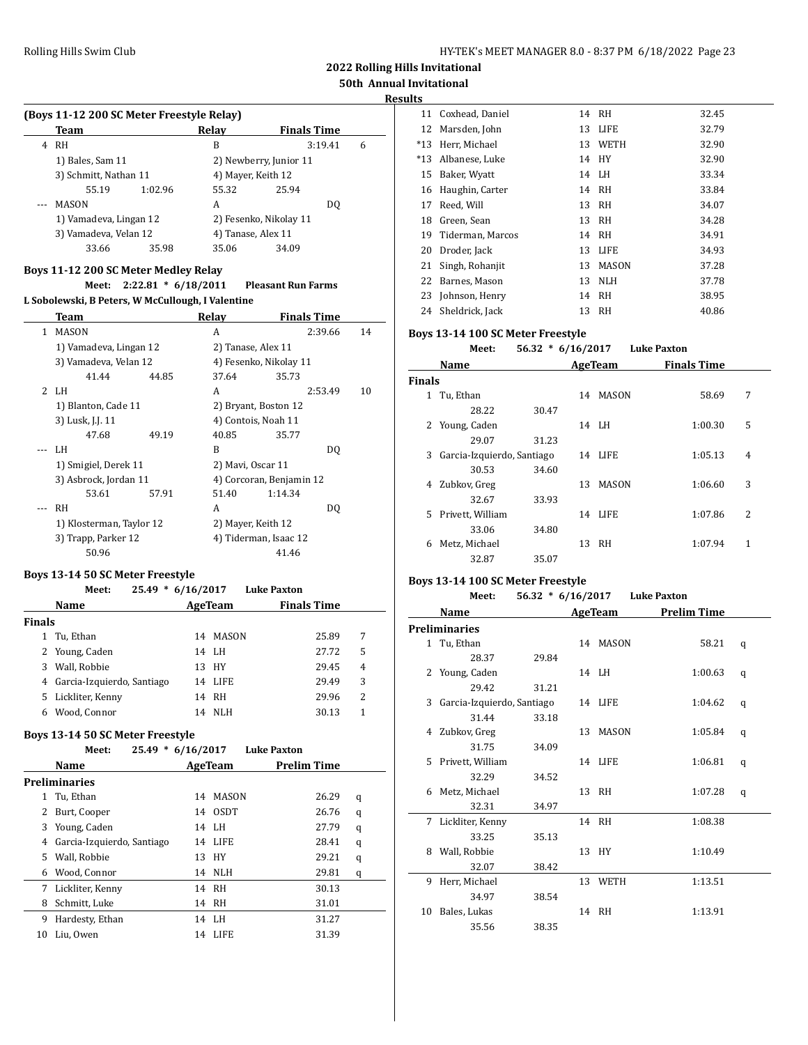**2022 Rolling Hills Invitational 50th Annual Invitational**

# **Results**

|  | (Boys 11-12 200 SC Meter Freestyle Relay) |
|--|-------------------------------------------|
|--|-------------------------------------------|

|         | Team                   |         | Relay              | <b>Finals Time</b>     |   |
|---------|------------------------|---------|--------------------|------------------------|---|
| 4       | <b>RH</b>              |         | B                  | 3:19.41                | 6 |
|         | 1) Bales, Sam 11       |         |                    | 2) Newberry, Junior 11 |   |
|         | 3) Schmitt, Nathan 11  |         | 4) Mayer, Keith 12 |                        |   |
|         | 55.19                  | 1:02.96 | 55.32              | 25.94                  |   |
| $- - -$ | MASON                  |         | А                  | DO.                    |   |
|         | 1) Vamadeva, Lingan 12 |         |                    | 2) Fesenko, Nikolay 11 |   |
|         | 3) Vamadeva, Velan 12  |         | 4) Tanase, Alex 11 |                        |   |
|         | 33.66                  | 35.98   | 35.06              | 34.09                  |   |

### **Boys 11-12 200 SC Meter Medley Relay**

#### **Meet: 2:22.81 \* 6/18/2011 Pleasant Run Farms L Sobolewski, B Peters, W McCullough, I Valentine**

|   | Team                     |       | Relay                | <b>Finals Time</b>       |    |
|---|--------------------------|-------|----------------------|--------------------------|----|
| 1 | MASON                    |       | A                    | 2:39.66                  | 14 |
|   | 1) Vamadeva, Lingan 12   |       | 2) Tanase, Alex 11   |                          |    |
|   | 3) Vamadeva, Velan 12    |       |                      | 4) Fesenko, Nikolay 11   |    |
|   | 41.44                    | 44.85 | 37.64                | 35.73                    |    |
|   | $2$ LH                   |       | A                    | 2:53.49                  | 10 |
|   | 1) Blanton, Cade 11      |       | 2) Bryant, Boston 12 |                          |    |
|   | 3) Lusk, J.J. 11         |       | 4) Contois, Noah 11  |                          |    |
|   | 47.68                    | 49.19 | 40.85                | 35.77                    |    |
|   | LH.                      |       | B                    | DQ                       |    |
|   | 1) Smigiel, Derek 11     |       | 2) Mavi, Oscar 11    |                          |    |
|   | 3) Asbrock, Jordan 11    |       |                      | 4) Corcoran, Benjamin 12 |    |
|   | 53.61                    | 57.91 | 51.40                | 1:14.34                  |    |
|   | <b>RH</b>                |       | A                    | DQ                       |    |
|   | 1) Klosterman, Taylor 12 |       | 2) Mayer, Keith 12   |                          |    |
|   | 3) Trapp, Parker 12      |       |                      | 4) Tiderman, Isaac 12    |    |
|   | 50.96                    |       |                      | 41.46                    |    |

### **Boys 13-14 50 SC Meter Freestyle**

|               | Meet:                      | $25.49 * 6/16/2017$ |         | <b>Luke Paxton</b> |   |
|---------------|----------------------------|---------------------|---------|--------------------|---|
|               | Name                       |                     | AgeTeam | <b>Finals Time</b> |   |
| <b>Finals</b> |                            |                     |         |                    |   |
|               | Tu, Ethan                  | 14                  | MASON   | 25.89              | 7 |
|               | 2 Young, Caden             | 14                  | LH      | 27.72              | 5 |
| 3             | Wall, Robbie               | 13                  | HY      | 29.45              | 4 |
| 4             | Garcia-Izquierdo, Santiago | 14                  | LIFE    | 29.49              | 3 |
| 5             | Lickliter, Kenny           | 14                  | - RH    | 29.96              | 2 |
| 6             | Wood, Connor               | 14                  | NLH     | 30.13              | 1 |
|               |                            |                     |         |                    |   |

### **Boys 13-14 50 SC Meter Freestyle**

|    | Meet:                      | $25.49 * 6/16/2017$ |         |         | <b>Luke Paxton</b> |   |
|----|----------------------------|---------------------|---------|---------|--------------------|---|
|    | Name                       |                     | AgeTeam |         | <b>Prelim Time</b> |   |
|    | Preliminaries              |                     |         |         |                    |   |
| 1  | Tu, Ethan                  |                     | 14      | MASON   | 26.29              | q |
| 2  | Burt, Cooper               |                     |         | 14 OSDT | 26.76              | q |
| 3  | Young, Caden               |                     |         | 14 LH   | 27.79              | q |
| 4  | Garcia-Izquierdo, Santiago |                     |         | 14 LIFE | 28.41              | q |
| 5  | Wall. Robbie               |                     |         | 13 HY   | 29.21              | q |
| 6  | Wood, Connor               |                     |         | 14 NLH  | 29.81              | q |
| 7  | Lickliter, Kenny           |                     |         | 14 RH   | 30.13              |   |
| 8  | Schmitt, Luke              |                     | 14      | RH      | 31.01              |   |
| 9  | Hardesty, Ethan            |                     | 14      | - LH    | 31.27              |   |
| 10 | Liu, Owen                  |                     | 14      | LIFE    | 31.39              |   |
|    |                            |                     |         |         |                    |   |

|       | 11 Coxhead, Daniel |    | 14 RH        | 32.45 |
|-------|--------------------|----|--------------|-------|
|       | 12 Marsden, John   |    | 13 LIFE      | 32.79 |
| $*13$ | Herr. Michael      |    | 13 WETH      | 32.90 |
| $*13$ | Albanese, Luke     |    | 14 HY        | 32.90 |
| 15    | Baker, Wyatt       |    | 14 LH        | 33.34 |
| 16    | Haughin, Carter    | 14 | <b>RH</b>    | 33.84 |
| 17    | Reed, Will         |    | 13 RH        | 34.07 |
| 18    | Green, Sean        |    | 13 RH        | 34.28 |
| 19    | Tiderman, Marcos   | 14 | RH           | 34.91 |
| 20    | Droder, Jack       |    | 13 LIFE      | 34.93 |
|       | 21 Singh, Rohanjit | 13 | <b>MASON</b> | 37.28 |
| 22    | Barnes, Mason      | 13 | <b>NLH</b>   | 37.78 |
|       | 23 Johnson, Henry  |    | 14 RH        | 38.95 |
| 24    | Sheldrick, Jack    | 13 | <b>RH</b>    | 40.86 |

## **Boys 13-14 100 SC Meter Freestyle**

**Meet: 56.32 \* 6/16/2017 Luke Paxton**

| Name              |       |                            |              |                                        |                          |
|-------------------|-------|----------------------------|--------------|----------------------------------------|--------------------------|
| <b>Finals</b>     |       |                            |              |                                        |                          |
| Tu, Ethan         |       | 14                         | MASON        | 58.69                                  | 7                        |
| 28.22             | 30.47 |                            |              |                                        |                          |
| Young, Caden<br>2 |       |                            |              | 1:00.30                                | 5                        |
| 29.07             | 31.23 |                            |              |                                        |                          |
|                   |       |                            |              | 1:05.13                                | $\overline{4}$           |
| 30.53             | 34.60 |                            |              |                                        |                          |
| Zubkov, Greg      |       | 13                         | <b>MASON</b> | 1:06.60                                | 3                        |
| 32.67             | 33.93 |                            |              |                                        |                          |
| Privett, William  |       |                            |              | 1:07.86                                | $\overline{\mathcal{L}}$ |
| 33.06             | 34.80 |                            |              |                                        |                          |
| Metz, Michael     |       | 13                         | <b>RH</b>    | 1:07.94                                | 1                        |
| 32.87             | 35.07 |                            |              |                                        |                          |
|                   |       | Garcia-Izquierdo, Santiago |              | AgeTeam<br>14 LH<br>14 LIFE<br>14 LIFE | <b>Finals Time</b>       |

# **Boys 13-14 100 SC Meter Freestyle**

 $\overline{a}$ 

|    | Meet:                      |       |          | 56.32 * 6/16/2017 Luke Paxton |   |
|----|----------------------------|-------|----------|-------------------------------|---|
|    | Name                       |       | AgeTeam  | <b>Prelim Time</b>            |   |
|    | Preliminaries              |       |          |                               |   |
|    | 1 Tu, Ethan                |       | 14 MASON | 58.21                         | q |
|    | 28.37                      | 29.84 |          |                               |   |
|    | 2 Young, Caden             |       | 14 LH    | 1:00.63                       | q |
|    | 29.42                      | 31.21 |          |                               |   |
| 3  | Garcia-Izquierdo, Santiago |       | 14 LIFE  | 1:04.62                       | q |
|    | 31.44                      | 33.18 |          |                               |   |
|    | 4 Zubkov, Greg             |       | 13 MASON | 1:05.84                       | q |
|    | 31.75                      | 34.09 |          |                               |   |
| 5  | Privett. William           |       | 14 LIFE  | 1:06.81                       | q |
|    | 32.29                      | 34.52 |          |                               |   |
| 6  | Metz, Michael              |       | 13 RH    | 1:07.28                       | q |
|    | 32.31                      | 34.97 |          |                               |   |
| 7  | Lickliter, Kenny           |       | 14 RH    | 1:08.38                       |   |
|    | 33.25                      | 35.13 |          |                               |   |
| 8  | Wall, Robbie               |       | 13 HY    | 1:10.49                       |   |
|    | 32.07                      | 38.42 |          |                               |   |
| 9  | Herr, Michael              |       | 13 WETH  | 1:13.51                       |   |
|    | 34.97                      | 38.54 |          |                               |   |
| 10 | Bales, Lukas               |       | 14 RH    | 1:13.91                       |   |
|    | 35.56                      | 38.35 |          |                               |   |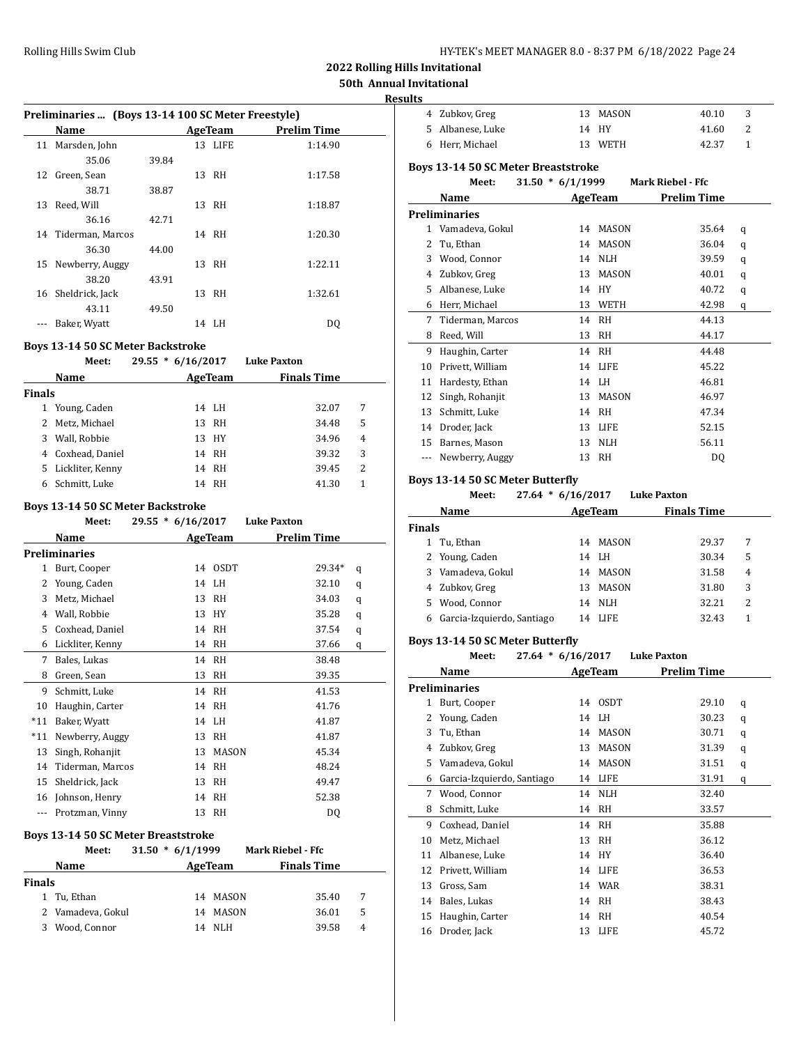**50th Annual Invitational Results**

| Preliminaries  (Boys 13-14 100 SC Meter Freestyle) |  |
|----------------------------------------------------|--|
|----------------------------------------------------|--|

|    | Name                | AgeTeam |    |         | <b>Prelim Time</b> |
|----|---------------------|---------|----|---------|--------------------|
| 11 | Marsden, John       |         |    | 13 LIFE | 1:14.90            |
|    | 35.06               | 39.84   |    |         |                    |
|    | 12 Green, Sean      |         | 13 | - RH    | 1:17.58            |
|    | 38.71               | 38.87   |    |         |                    |
|    | 13 Reed, Will       |         | 13 | - RH    | 1:18.87            |
|    | 36.16               | 42.71   |    |         |                    |
|    | 14 Tiderman, Marcos |         |    | 14 RH   | 1:20.30            |
|    | 36.30               | 44.00   |    |         |                    |
| 15 | Newberry, Auggy     |         | 13 | - RH    | 1:22.11            |
|    | 38.20               | 43.91   |    |         |                    |
|    | 16 Sheldrick, Jack  |         | 13 | RH      | 1:32.61            |
|    | 43.11               | 49.50   |    |         |                    |
|    | Baker, Wyatt        |         | 14 | - LH    | DQ                 |
|    |                     |         |    |         |                    |

#### **Boys 13-14 50 SC Meter Backstroke**

|               | Meet:            | $29.55 * 6/16/2017$ |         | <b>Luke Paxton</b> |   |
|---------------|------------------|---------------------|---------|--------------------|---|
|               | <b>Name</b>      |                     | AgeTeam | <b>Finals Time</b> |   |
| <b>Finals</b> |                  |                     |         |                    |   |
| 1             | Young, Caden     |                     | 14 LH   | 32.07              | 7 |
| 2             | Metz, Michael    | 13                  | RH      | 34.48              | 5 |
| 3             | Wall, Robbie     | 13                  | HY      | 34.96              | 4 |
| 4             | Coxhead, Daniel  | 14                  | - RH    | 39.32              | 3 |
| 5.            | Lickliter, Kenny | 14                  | - RH    | 39.45              | 2 |
| 6             | Schmitt, Luke    | 14                  | - RH    | 41.30              | 1 |
|               |                  |                     |         |                    |   |

#### **Boys 13-14 50 SC Meter Backstroke**

**Meet: 29.55 \* 6/16/2017 Luke Paxton Name AgeTeam Prelim Time Preliminaries** 1 Burt, Cooper 14 0SDT 29.34\* q 2 Young, Caden 14 LH 32.10 q 3 Metz, Michael 13 RH 34.03 q 4 Wall, Robbie 13 HY 35.28 q 5 Coxhead, Daniel 14 RH 37.54 q 6 Lickliter, Kenny 14 RH 37.66 q 7 Bales, Lukas 14 RH 38.48 8 Green, Sean 13 RH 39.35 9 Schmitt, Luke 14 RH 41.53 10 Haughin, Carter 14 RH 41.76 \*11 Baker, Wyatt 14 LH 41.87 \*11 Newberry, Auggy 13 RH 41.87 13 Singh, Rohanjit 13 MASON 45.34 14 Tiderman, Marcos 14 RH 48.24 15 Sheldrick, Jack 13 RH 49.47 16 Johnson, Henry 14 RH 52.38 --- Protzman, Vinny 13 RH DQ

#### **Boys 13-14 50 SC Meter Breaststroke**

|        | Meet:             | $31.50 * 6/1/1999$ |          | <b>Mark Riebel - Ffc</b> |   |
|--------|-------------------|--------------------|----------|--------------------------|---|
|        | <b>Name</b>       |                    | AgeTeam  | <b>Finals Time</b>       |   |
| Finals |                   |                    |          |                          |   |
|        | Tu, Ethan         |                    | 14 MASON | 35.40                    | 7 |
|        | 2 Vamadeva, Gokul | 14                 | MASON    | 36.01                    | 5 |
| 3.     | Wood, Connor      |                    | 14 NLH   | 39.58                    | 4 |

| 4 Zubkov, Greg   | 13 MASON | 40.10 |  |
|------------------|----------|-------|--|
| 5 Albanese, Luke | 14 HY    | 41.60 |  |
| 6 Herr, Michael  | 13 WETH  | 42.37 |  |

#### **Boys 13-14 50 SC Meter Breaststroke**

|    | Meet:            | $31.50 * 6/1/1999$ |    |              | <b>Mark Riebel - Ffc</b> |   |
|----|------------------|--------------------|----|--------------|--------------------------|---|
|    | Name             |                    |    | AgeTeam      | <b>Prelim Time</b>       |   |
|    | Preliminaries    |                    |    |              |                          |   |
| 1  | Vamadeva, Gokul  |                    | 14 | <b>MASON</b> | 35.64                    | q |
| 2  | Tu, Ethan        |                    | 14 | <b>MASON</b> | 36.04                    | q |
| 3  | Wood, Connor     |                    | 14 | <b>NLH</b>   | 39.59                    | q |
| 4  | Zubkov, Greg     |                    | 13 | <b>MASON</b> | 40.01                    | q |
| 5  | Albanese, Luke   |                    | 14 | HY           | 40.72                    | q |
| 6  | Herr, Michael    |                    | 13 | WETH         | 42.98                    | q |
| 7  | Tiderman, Marcos |                    | 14 | <b>RH</b>    | 44.13                    |   |
| 8  | Reed, Will       |                    | 13 | RH           | 44.17                    |   |
| 9  | Haughin, Carter  |                    | 14 | RH           | 44.48                    |   |
| 10 | Privett, William |                    | 14 | <b>LIFE</b>  | 45.22                    |   |
| 11 | Hardesty, Ethan  |                    | 14 | <b>LH</b>    | 46.81                    |   |
| 12 | Singh, Rohanjit  |                    | 13 | <b>MASON</b> | 46.97                    |   |
| 13 | Schmitt, Luke    |                    | 14 | RH           | 47.34                    |   |
| 14 | Droder, Jack     |                    | 13 | <b>LIFE</b>  | 52.15                    |   |
| 15 | Barnes, Mason    |                    | 13 | <b>NLH</b>   | 56.11                    |   |
|    | Newberry, Auggy  |                    | 13 | RH           | DQ                       |   |
|    |                  |                    |    |              |                          |   |

#### **Boys 13-14 50 SC Meter Butterfly**

#### **Meet: 27.64 \* 6/16/2017 Luke Paxton**

| Name          |                            |    | AgeTeam      | <b>Finals Time</b> |   |
|---------------|----------------------------|----|--------------|--------------------|---|
| <b>Finals</b> |                            |    |              |                    |   |
|               | Tu, Ethan                  | 14 | MASON        | 29.37              | 7 |
|               | 2 Young, Caden             |    | 14 LH        | 30.34              | 5 |
|               | 3 Vamadeva, Gokul          | 14 | MASON        | 31.58              | 4 |
|               | 4 Zubkov, Greg             | 13 | <b>MASON</b> | 31.80              | 3 |
|               | 5 Wood, Connor             | 14 | NLH          | 32.21              | 2 |
| 6             | Garcia-Izquierdo, Santiago | 14 | LIFE         | 32.43              | 1 |

#### **Boys 13-14 50 SC Meter Butterfly**

**Meet: 27.64 \* 6/16/2017 Luke Paxton**

|    | Name                       |    | AgeTeam      | <b>Prelim Time</b> |   |  |
|----|----------------------------|----|--------------|--------------------|---|--|
|    | <b>Preliminaries</b>       |    |              |                    |   |  |
| 1  | Burt, Cooper               | 14 | <b>OSDT</b>  | 29.10              | q |  |
| 2  | Young, Caden               | 14 | LH           | 30.23              | q |  |
| 3  | Tu, Ethan                  | 14 | <b>MASON</b> | 30.71              | q |  |
| 4  | Zubkov, Greg               | 13 | <b>MASON</b> | 31.39              | q |  |
| 5  | Vamadeva, Gokul            | 14 | <b>MASON</b> | 31.51              | q |  |
| 6  | Garcia-Izquierdo, Santiago | 14 | <b>LIFE</b>  | 31.91              | q |  |
| 7  | Wood, Connor               | 14 | <b>NLH</b>   | 32.40              |   |  |
| 8  | Schmitt, Luke              | 14 | RH           | 33.57              |   |  |
| 9  | Coxhead, Daniel            | 14 | <b>RH</b>    | 35.88              |   |  |
| 10 | Metz, Michael              | 13 | RH           | 36.12              |   |  |
| 11 | Albanese, Luke             | 14 | HY           | 36.40              |   |  |
| 12 | Privett, William           | 14 | <b>LIFE</b>  | 36.53              |   |  |
| 13 | Gross, Sam                 | 14 | WAR          | 38.31              |   |  |
| 14 | Bales, Lukas               | 14 | <b>RH</b>    | 38.43              |   |  |
| 15 | Haughin, Carter            | 14 | RH           | 40.54              |   |  |
| 16 | Droder, Jack               | 13 | <b>LIFE</b>  | 45.72              |   |  |
|    |                            |    |              |                    |   |  |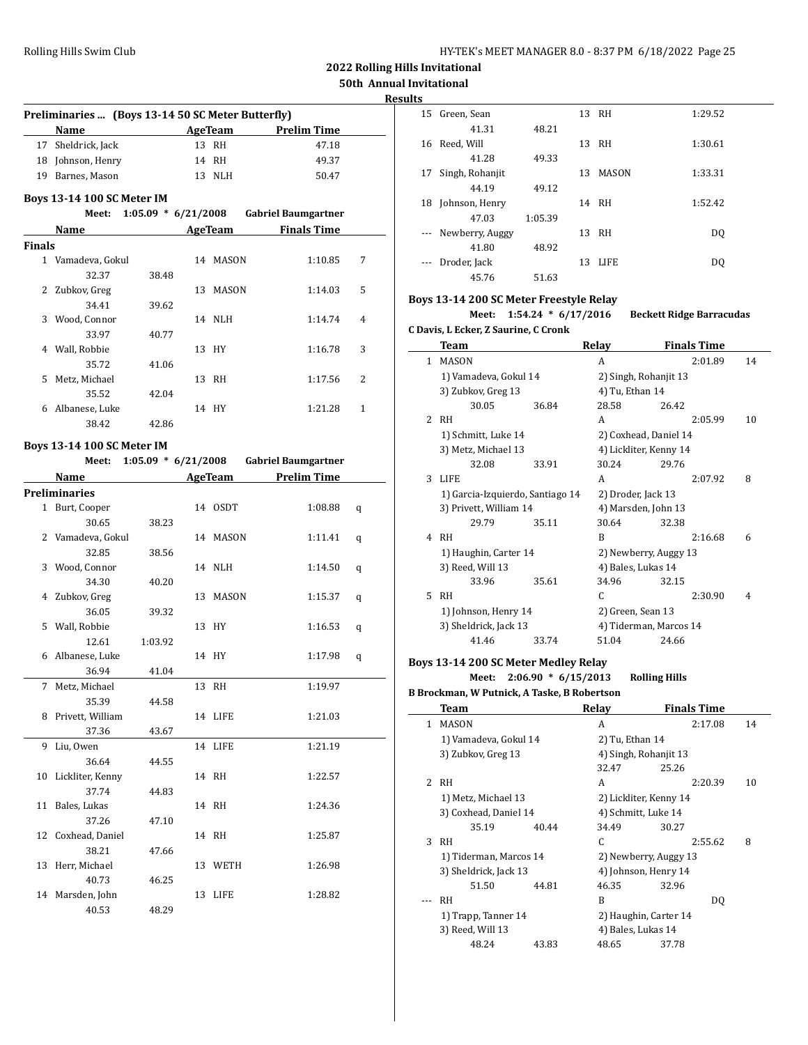**Results**

 $\overline{\phantom{a}}$ 

|               | Preliminaries  (Boys 13-14 50 SC Meter Butterfly)                                                                                                                                                                              |         |          |                                               |   |
|---------------|--------------------------------------------------------------------------------------------------------------------------------------------------------------------------------------------------------------------------------|---------|----------|-----------------------------------------------|---|
|               | Name                                                                                                                                                                                                                           |         | AgeTeam  | <b>Prelim Time</b>                            |   |
|               | 17 Sheldrick, Jack                                                                                                                                                                                                             |         | 13 RH    | 47.18                                         |   |
|               | 18 Johnson, Henry                                                                                                                                                                                                              |         | 14 RH    | 49.37                                         |   |
|               | 19 Barnes, Mason                                                                                                                                                                                                               |         | 13 NLH   | 50.47                                         |   |
|               | <b>Boys 13-14 100 SC Meter IM</b>                                                                                                                                                                                              |         |          |                                               |   |
|               |                                                                                                                                                                                                                                |         |          | Meet: 1:05.09 * 6/21/2008 Gabriel Baumgartner |   |
|               | Name                                                                                                                                                                                                                           |         |          | <b>Example 2 AgeTeam</b> Finals Time          |   |
| <b>Finals</b> |                                                                                                                                                                                                                                |         |          |                                               |   |
|               | 1 Vamadeva, Gokul                                                                                                                                                                                                              |         | 14 MASON | 1:10.85                                       | 7 |
|               | 32.37                                                                                                                                                                                                                          | 38.48   |          |                                               |   |
|               | 2 Zubkov, Greg                                                                                                                                                                                                                 |         | 13 MASON | 1:14.03                                       | 5 |
|               | 34.41                                                                                                                                                                                                                          | 39.62   |          |                                               |   |
|               | 3 Wood, Connor                                                                                                                                                                                                                 |         | 14 NLH   | 1:14.74                                       | 4 |
|               | 33.97                                                                                                                                                                                                                          | 40.77   |          |                                               |   |
|               | 4 Wall, Robbie                                                                                                                                                                                                                 |         | 13 HY    | 1:16.78                                       | 3 |
|               | 35.72                                                                                                                                                                                                                          | 41.06   |          |                                               |   |
| 5             | Metz, Michael                                                                                                                                                                                                                  |         | 13 RH    | 1:17.56                                       | 2 |
|               | 35.52                                                                                                                                                                                                                          | 42.04   |          |                                               |   |
|               | 6 Albanese, Luke                                                                                                                                                                                                               |         | 14 HY    | 1:21.28                                       | 1 |
|               | 38.42                                                                                                                                                                                                                          | 42.86   |          |                                               |   |
|               |                                                                                                                                                                                                                                |         |          |                                               |   |
|               | <b>Boys 13-14 100 SC Meter IM</b>                                                                                                                                                                                              |         |          |                                               |   |
|               | Meet:                                                                                                                                                                                                                          |         |          | 1:05.09 * 6/21/2008 Gabriel Baumgartner       |   |
|               | Name and the state of the state of the state of the state of the state of the state of the state of the state of the state of the state of the state of the state of the state of the state of the state of the state of the s |         |          | AgeTeam Prelim Time                           |   |
|               | <b>Preliminaries</b>                                                                                                                                                                                                           |         |          |                                               |   |
|               | 1 Burt, Cooper                                                                                                                                                                                                                 |         | 14 OSDT  | 1:08.88                                       | q |
|               | 30.65                                                                                                                                                                                                                          | 38.23   |          |                                               |   |
|               | 2 Vamadeva, Gokul                                                                                                                                                                                                              |         | 14 MASON | 1:11.41                                       | q |
|               | 32.85                                                                                                                                                                                                                          | 38.56   |          |                                               |   |
| 3             | Wood, Connor                                                                                                                                                                                                                   |         | 14 NLH   | 1:14.50                                       | q |
|               | 34.30                                                                                                                                                                                                                          | 40.20   |          |                                               |   |
|               | 4 Zubkov, Greg                                                                                                                                                                                                                 |         | 13 MASON | 1:15.37                                       | q |
|               | 36.05                                                                                                                                                                                                                          | 39.32   |          |                                               |   |
|               | 5 Wall, Robbie                                                                                                                                                                                                                 |         | 13 HY    | 1:16.53                                       | q |
|               | 12.61                                                                                                                                                                                                                          | 1:03.92 |          |                                               |   |
|               | 6 Albanese, Luke                                                                                                                                                                                                               |         | 14 HY    | 1:17.98                                       | q |
|               | 36.94                                                                                                                                                                                                                          | 41.04   |          |                                               |   |
|               | 7 Metz, Michael                                                                                                                                                                                                                |         | 13 RH    | 1:19.97                                       |   |
|               | 35.39                                                                                                                                                                                                                          | 44.58   |          |                                               |   |
| 8             | Privett, William                                                                                                                                                                                                               |         | 14 LIFE  | 1:21.03                                       |   |
|               | 37.36                                                                                                                                                                                                                          | 43.67   |          |                                               |   |
| 9             | Liu, Owen                                                                                                                                                                                                                      |         | 14 LIFE  | 1:21.19                                       |   |
|               | 36.64                                                                                                                                                                                                                          | 44.55   |          |                                               |   |
| 10            | Lickliter, Kenny                                                                                                                                                                                                               |         | 14 RH    | 1:22.57                                       |   |
|               | 37.74                                                                                                                                                                                                                          | 44.83   |          |                                               |   |
| 11            | Bales, Lukas                                                                                                                                                                                                                   |         | 14 RH    | 1:24.36                                       |   |
|               |                                                                                                                                                                                                                                |         |          |                                               |   |
|               | 37.26                                                                                                                                                                                                                          | 47.10   |          |                                               |   |
| 12            | Coxhead, Daniel                                                                                                                                                                                                                |         | 14 RH    | 1:25.87                                       |   |
|               | 38.21                                                                                                                                                                                                                          | 47.66   |          |                                               |   |
| 13            | Herr, Michael                                                                                                                                                                                                                  |         | 13 WETH  | 1:26.98                                       |   |
|               | 40.73                                                                                                                                                                                                                          | 46.25   |          |                                               |   |
| 14            | Marsden, John                                                                                                                                                                                                                  |         | 13 LIFE  | 1:28.82                                       |   |
|               | 40.53                                                                                                                                                                                                                          | 48.29   |          |                                               |   |

| แร |                                             |         |    |       |                                              |    |
|----|---------------------------------------------|---------|----|-------|----------------------------------------------|----|
| 15 | Green, Sean                                 |         | 13 | RH    | 1:29.52                                      |    |
|    | 41.31                                       | 48.21   |    |       |                                              |    |
| 16 | Reed, Will                                  |         | 13 | RH    | 1:30.61                                      |    |
|    | 41.28                                       | 49.33   |    |       |                                              |    |
| 17 | Singh, Rohanjit                             |         | 13 | MASON | 1:33.31                                      |    |
|    | 44.19                                       | 49.12   |    |       |                                              |    |
| 18 | Johnson, Henry                              |         | 14 | RH    | 1:52.42                                      |    |
|    | 47.03                                       | 1:05.39 |    |       |                                              |    |
|    | Newberry, Auggy                             |         | 13 | RH    | DQ                                           |    |
|    | 41.80                                       | 48.92   |    |       |                                              |    |
|    | Droder, Jack                                |         | 13 | LIFE  | DQ                                           |    |
|    | 45.76                                       | 51.63   |    |       |                                              |    |
|    | Boys 13-14 200 SC Meter Freestyle Relay     |         |    |       |                                              |    |
|    | Meet:                                       |         |    |       | 1:54.24 * 6/17/2016 Beckett Ridge Barracudas |    |
|    | C Davis, L Ecker, Z Saurine, C Cronk        |         |    |       |                                              |    |
|    | Team                                        |         |    | Relay | <b>Finals Time</b>                           |    |
| 1  | MASON                                       |         |    | A     | 2:01.89                                      | 14 |
|    | 1) Vamadeva, Gokul 14                       |         |    |       | 2) Singh, Rohanjit 13                        |    |
|    | 3) Zubkov, Greg 13                          |         |    |       | 4) Tu, Ethan 14                              |    |
|    | 30.05                                       | 36.84   |    | 28.58 | 26.42                                        |    |
| 2  | <b>RH</b>                                   |         |    | A     | 2:05.99                                      | 10 |
|    | 1) Schmitt, Luke 14                         |         |    |       | 2) Coxhead, Daniel 14                        |    |
|    | 3) Metz, Michael 13                         |         |    |       | 4) Lickliter, Kenny 14                       |    |
|    | 32.08                                       | 33.91   |    | 30.24 | 29.76                                        |    |
| 3  | LIFE                                        |         |    | A     | 2:07.92                                      | 8  |
|    | 1) Garcia-Izquierdo, Santiago 14            |         |    |       | 2) Droder, Jack 13                           |    |
|    | 3) Privett, William 14                      |         |    |       | 4) Marsden, John 13                          |    |
|    | 29.79                                       | 35.11   |    | 30.64 | 32.38                                        |    |
| 4  | RH                                          |         |    | B     | 2:16.68                                      | 6  |
|    | 1) Haughin, Carter 14                       |         |    |       | 2) Newberry, Auggy 13                        |    |
|    | 3) Reed, Will 13                            |         |    |       | 4) Bales, Lukas 14                           |    |
|    | 33.96                                       | 35.61   |    | 34.96 | 32.15                                        |    |
| 5  | <b>RH</b>                                   |         |    | C     | 2:30.90                                      | 4  |
|    | 1) Johnson, Henry 14                        |         |    |       | 2) Green, Sean 13                            |    |
|    | 3) Sheldrick, Jack 13                       |         |    |       | 4) Tiderman, Marcos 14                       |    |
|    | 41.46                                       | 33.74   |    | 51.04 | 24.66                                        |    |
|    | Boys 13-14 200 SC Meter Medley Relay        |         |    |       |                                              |    |
|    | Meet: 2:06.90 * 6/15/2013                   |         |    |       | <b>Rolling Hills</b>                         |    |
|    | B Brockman, W Putnick, A Taske, B Robertson |         |    |       |                                              |    |
|    | <b>Team</b>                                 |         |    | Relay | <b>Finals Time</b>                           |    |
|    | 1 MASON                                     |         |    | A     | 2:17.08                                      | 14 |
|    | 1) Vamadeva, Gokul 14                       |         |    |       | 2) Tu, Ethan 14                              |    |
|    | 3) Zubkov, Greg 13                          |         |    |       | 4) Singh, Rohanjit 13                        |    |
|    |                                             |         |    | 32.47 | 25.26                                        |    |
| 2  | RH                                          |         |    | A     | 2:20.39                                      | 10 |
|    | 1) Metz, Michael 13                         |         |    |       | 2) Lickliter, Kenny 14                       |    |
|    | 3) Coxhead, Daniel 14                       |         |    |       | 4) Schmitt, Luke 14                          |    |
|    | 35.19                                       | 40.44   |    | 34.49 | 30.27                                        |    |
| 3  | <b>RH</b>                                   |         |    | C     | 2:55.62                                      | 8  |
|    | 1) Tiderman, Marcos 14                      |         |    |       | 2) Newberry, Auggy 13                        |    |
|    | 3) Sheldrick, Jack 13                       |         |    |       | 4) Johnson, Henry 14                         |    |
|    | 51.50                                       | 44.81   |    | 46.35 | 32.96                                        |    |
|    | RH                                          |         |    | B     | DQ                                           |    |
|    | 1) Trapp, Tanner 14                         |         |    |       | 2) Haughin, Carter 14                        |    |

3) Reed, Will 13 4) Bales, Lukas 14 48.24 43.83 48.65 37.78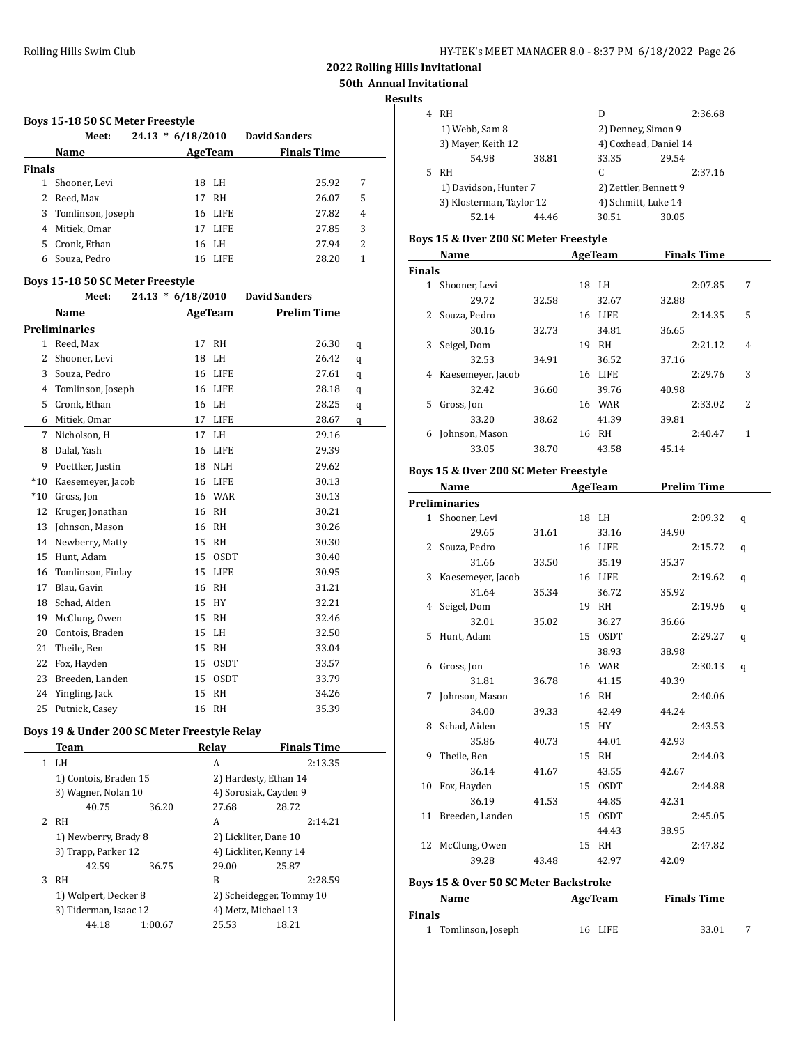## **50th Annual Invitational**

## **Results**

|               | Boys 15-18 50 SC Meter Freestyle |                     |           |                      |       |   |
|---------------|----------------------------------|---------------------|-----------|----------------------|-------|---|
|               | Meet:                            | $24.13 * 6/18/2010$ |           | <b>David Sanders</b> |       |   |
|               | Name                             |                     | AgeTeam   | <b>Finals Time</b>   |       |   |
| <b>Finals</b> |                                  |                     |           |                      |       |   |
| 1             | Shooner, Levi                    |                     | 18 LH     |                      | 25.92 | 7 |
| 2             | Reed, Max                        | 17                  | <b>RH</b> |                      | 26.07 | 5 |
| 3             | Tomlinson, Joseph                |                     | 16 LIFE   |                      | 27.82 | 4 |
| 4             | Mitiek, Omar                     | 17                  | LIFE      |                      | 27.85 | 3 |
| 5.            | Cronk, Ethan                     | 16                  | - LH      |                      | 27.94 | 2 |
| 6             | Souza, Pedro                     | 16                  | LIFE      |                      | 28.20 |   |

## **Boys 15-18 50 SC Meter Freestyle**

|                | Meet:                | 24.13 * 6/18/2010 |                | <b>David Sanders</b> |   |  |
|----------------|----------------------|-------------------|----------------|----------------------|---|--|
|                | Name                 |                   | <b>AgeTeam</b> | <b>Prelim Time</b>   |   |  |
|                | <b>Preliminaries</b> |                   |                |                      |   |  |
| 1              | Reed, Max            | 17                | <b>RH</b>      | 26.30                | q |  |
| $\overline{c}$ | Shooner, Levi        | 18                | LH             | 26.42                | q |  |
| 3              | Souza, Pedro         | 16                | <b>LIFE</b>    | 27.61                | q |  |
| 4              | Tomlinson, Joseph    | 16                | LIFE           | 28.18                | q |  |
| 5              | Cronk, Ethan         | 16                | LH             | 28.25                | q |  |
| 6              | Mitiek, Omar         | 17                | <b>LIFE</b>    | 28.67                | q |  |
| 7              | Nicholson, H         | 17                | LH             | 29.16                |   |  |
| 8              | Dalal, Yash          | 16                | <b>LIFE</b>    | 29.39                |   |  |
| 9              | Poettker, Justin     | 18                | <b>NLH</b>     | 29.62                |   |  |
| $*10$          | Kaesemeyer, Jacob    | 16                | <b>LIFE</b>    | 30.13                |   |  |
| $*10$          | Gross, Jon           | 16                | <b>WAR</b>     | 30.13                |   |  |
| 12             | Kruger, Jonathan     | 16                | <b>RH</b>      | 30.21                |   |  |
| 13             | Johnson, Mason       | 16                | <b>RH</b>      | 30.26                |   |  |
| 14             | Newberry, Matty      | 15                | <b>RH</b>      | 30.30                |   |  |
| 15             | Hunt, Adam           | 15                | <b>OSDT</b>    | 30.40                |   |  |
| 16             | Tomlinson, Finlay    | 15                | <b>LIFE</b>    | 30.95                |   |  |
| 17             | Blau, Gavin          | 16                | <b>RH</b>      | 31.21                |   |  |
| 18             | Schad, Aiden         | 15                | HY             | 32.21                |   |  |
| 19             | McClung, Owen        | 15                | <b>RH</b>      | 32.46                |   |  |
| 20             | Contois, Braden      | 15                | LH             | 32.50                |   |  |
| 21             | Theile, Ben          | 15                | <b>RH</b>      | 33.04                |   |  |
| 22             | Fox, Hayden          | 15                | <b>OSDT</b>    | 33.57                |   |  |
| 23             | Breeden, Landen      | 15                | <b>OSDT</b>    | 33.79                |   |  |
| 24             | Yingling, Jack       | 15                | <b>RH</b>      | 34.26                |   |  |
| 25             | Putnick, Casey       | 16                | RH             | 35.39                |   |  |

#### **Boys 19 & Under 200 SC Meter Freestyle Relay**

|             | Team                  |         | Relay                 | <b>Finals Time</b>       |
|-------------|-----------------------|---------|-----------------------|--------------------------|
| 1           | LH                    |         | A                     | 2:13.35                  |
|             | 1) Contois, Braden 15 |         |                       | 2) Hardesty, Ethan 14    |
|             | 3) Wagner, Nolan 10   |         |                       | 4) Sorosiak, Cayden 9    |
|             | 40.75                 | 36.20   | 27.68                 | 28.72                    |
| $2^{\circ}$ | <b>RH</b>             |         | A                     | 2:14.21                  |
|             | 1) Newberry, Brady 8  |         | 2) Lickliter, Dane 10 |                          |
|             | 3) Trapp, Parker 12   |         |                       | 4) Lickliter, Kenny 14   |
|             | 42.59                 | 36.75   | 29.00                 | 25.87                    |
| 3           | <b>RH</b>             |         | B                     | 2:28.59                  |
|             | 1) Wolpert, Decker 8  |         |                       | 2) Scheidegger, Tommy 10 |
|             | 3) Tiderman, Isaac 12 |         | 4) Metz, Michael 13   |                          |
|             | 44.18                 | 1:00.67 | 25.53                 | 18.21                    |

| <b>RH</b>                |       | D                     | 2:36.68 |
|--------------------------|-------|-----------------------|---------|
| 1) Webb, Sam 8           |       | 2) Denney, Simon 9    |         |
| 3) Mayer, Keith 12       |       | 4) Coxhead, Daniel 14 |         |
| 54.98                    | 38.81 | 33.35                 | 29.54   |
| 5 RH                     |       | C                     | 2:37.16 |
| 1) Davidson, Hunter 7    |       | 2) Zettler, Bennett 9 |         |
| 3) Klosterman, Taylor 12 |       | 4) Schmitt, Luke 14   |         |
| 52.14                    | 44.46 | 30.51                 | 30.05   |

## **Boys 15 & Over 200 SC Meter Freestyle**

|               | Name              |       |    | AgeTeam     |       | <b>Finals Time</b> |   |
|---------------|-------------------|-------|----|-------------|-------|--------------------|---|
| <b>Finals</b> |                   |       |    |             |       |                    |   |
|               | Shooner, Levi     |       | 18 | LH.         |       | 2:07.85            | 7 |
|               | 29.72             | 32.58 |    | 32.67       | 32.88 |                    |   |
| 2.            | Souza, Pedro      |       |    | 16 LIFE     |       | 2:14.35            | 5 |
|               | 30.16             | 32.73 |    | 34.81       | 36.65 |                    |   |
| 3             | Seigel, Dom       |       | 19 | <b>RH</b>   |       | 2:21.12            | 4 |
|               | 32.53             | 34.91 |    | 36.52       | 37.16 |                    |   |
| 4             | Kaesemeyer, Jacob |       | 16 | <b>LIFE</b> |       | 2:29.76            | 3 |
|               | 32.42             | 36.60 |    | 39.76       | 40.98 |                    |   |
| 5.            | Gross, Jon        |       | 16 | WAR         |       | 2:33.02            | 2 |
|               | 33.20             | 38.62 |    | 41.39       | 39.81 |                    |   |
| 6             | Johnson, Mason    |       | 16 | <b>RH</b>   |       | 2:40.47            | 1 |
|               | 33.05             | 38.70 |    | 43.58       | 45.14 |                    |   |

## **Boys 15 & Over 200 SC Meter Freestyle**

|               | Name                                  |       | <b>AgeTeam</b> | <b>Prelim Time</b> |   |
|---------------|---------------------------------------|-------|----------------|--------------------|---|
|               | <b>Preliminaries</b>                  |       |                |                    |   |
|               | 1 Shooner, Levi                       |       | 18 LH          | 2:09.32            | q |
|               | 29.65                                 | 31.61 | 33.16          | 34.90              |   |
|               | 2 Souza, Pedro                        |       | 16 LIFE        | 2:15.72            | q |
|               | 31.66                                 | 33.50 | 35.19          | 35.37              |   |
| 3             | Kaesemeyer, Jacob                     |       | 16 LIFE        | 2:19.62            | q |
|               | 31.64                                 | 35.34 | 36.72          | 35.92              |   |
|               | 4 Seigel, Dom                         |       | 19 RH          | 2:19.96            | q |
|               | 32.01                                 | 35.02 | 36.27          | 36.66              |   |
| 5             | Hunt, Adam                            |       | 15 OSDT        | 2:29.27            | q |
|               |                                       |       | 38.93          | 38.98              |   |
| 6             | Gross, Jon                            |       | 16 WAR         | 2:30.13            | q |
|               | 31.81                                 | 36.78 | 41.15          | 40.39              |   |
| 7             | Johnson, Mason                        |       | 16 RH          | 2:40.06            |   |
|               | 34.00                                 | 39.33 | 42.49          | 44.24              |   |
| 8             | Schad, Aiden                          |       | 15 HY          | 2:43.53            |   |
|               | 35.86                                 | 40.73 | 44.01          | 42.93              |   |
| 9             | Theile, Ben                           |       | 15 RH          | 2:44.03            |   |
|               | 36.14                                 | 41.67 | 43.55          | 42.67              |   |
| 10            | Fox, Hayden                           |       | 15 OSDT        | 2:44.88            |   |
|               | 36.19                                 | 41.53 | 44.85          | 42.31              |   |
|               | 11 Breeden, Landen                    |       | 15 OSDT        | 2:45.05            |   |
|               |                                       |       | 44.43          | 38.95              |   |
| 12            | McClung, Owen                         |       | 15 RH          | 2:47.82            |   |
|               | 39.28                                 | 43.48 | 42.97          | 42.09              |   |
|               | Boys 15 & Over 50 SC Meter Backstroke |       |                |                    |   |
|               | Name                                  |       | <b>AgeTeam</b> | <b>Finals Time</b> |   |
| <b>Finals</b> |                                       |       |                |                    |   |
| $\mathbf{1}$  | Tomlinson, Joseph                     |       | 16 LIFE        | 33.01              | 7 |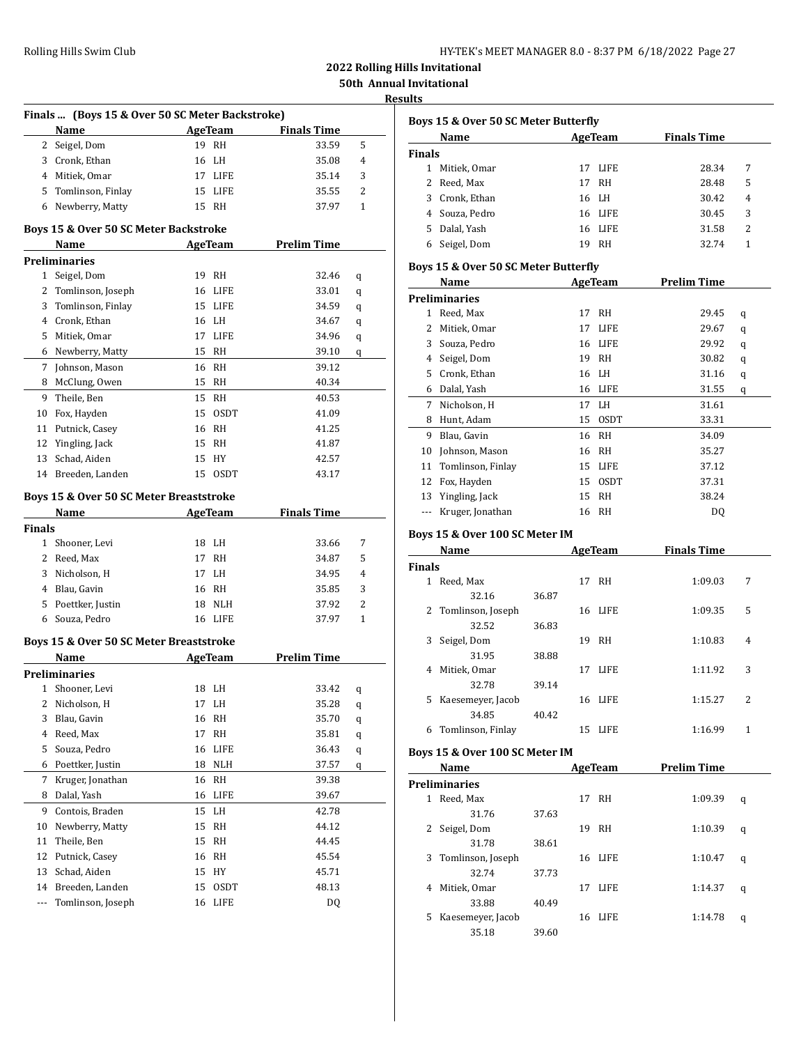| HY-TEK's MEET MANAGER 8.0 - 8:37 PM 6/18/2022 Page 27 |  |  |  |
|-------------------------------------------------------|--|--|--|
|-------------------------------------------------------|--|--|--|

|                | Finals  (Boys 15 & Over 50 SC Meter Backstroke)<br>Name | <b>Example 2</b> AgeTeam | <b>Finals Time</b> |   |
|----------------|---------------------------------------------------------|--------------------------|--------------------|---|
|                | 2 Seigel, Dom                                           | 19 RH                    | 33.59              | 5 |
|                | 3 Cronk, Ethan                                          | 16 LH                    | 35.08              | 4 |
|                | 4 Mitiek, Omar                                          | 17 LIFE                  | 35.14              | 3 |
|                | 5 Tomlinson, Finlay                                     | 15 LIFE                  | 35.55              | 2 |
|                | 6 Newberry, Matty                                       | 15 RH                    | 37.97              | 1 |
|                |                                                         |                          |                    |   |
|                | Boys 15 & Over 50 SC Meter Backstroke                   |                          |                    |   |
|                | Name                                                    | AgeTeam                  | <b>Prelim Time</b> |   |
|                | <b>Preliminaries</b>                                    |                          |                    |   |
| 1              | Seigel, Dom                                             | 19 RH                    | 32.46              | q |
| 2              | Tomlinson, Joseph                                       | 16 LIFE                  | 33.01              | q |
|                | 3 Tomlinson, Finlay                                     | 15 LIFE                  | 34.59              | q |
|                | 4 Cronk, Ethan                                          | 16 LH                    | 34.67              | q |
|                | 5 Mitiek, Omar                                          | 17 LIFE<br>15            | 34.96              | q |
|                | 6 Newberry, Matty                                       | RH<br><b>RH</b>          | 39.10              | q |
|                | 7 Johnson, Mason<br>8 McClung, Owen                     | 16<br>15<br><b>RH</b>    | 39.12<br>40.34     |   |
| 9              | Theile, Ben                                             | 15<br><b>RH</b>          | 40.53              |   |
|                | 10 Fox, Hayden                                          | 15<br><b>OSDT</b>        | 41.09              |   |
|                | 11 Putnick, Casey                                       | 16<br>RH                 | 41.25              |   |
|                | 12 Yingling, Jack                                       | <b>RH</b><br>15          | 41.87              |   |
|                | 13 Schad, Aiden                                         | 15<br>HY                 | 42.57              |   |
|                | 14 Breeden, Landen                                      | 15<br><b>OSDT</b>        | 43.17              |   |
|                |                                                         |                          |                    |   |
|                | Boys 15 & Over 50 SC Meter Breaststroke                 |                          |                    |   |
|                | Name                                                    | AgeTeam                  | <b>Finals Time</b> |   |
| <b>Finals</b>  |                                                         |                          |                    |   |
|                | 1 Shooner, Levi                                         | 18 LH                    | 33.66              | 7 |
|                | 2 Reed, Max                                             | <b>RH</b><br>17          | 34.87              | 5 |
|                | 3 Nicholson, H                                          | 17 LH                    | 34.95              | 4 |
|                | 4 Blau, Gavin                                           | 16 RH                    | 35.85              | 3 |
|                | 5 Poettker, Justin                                      | 18 NLH                   | 37.92              | 2 |
|                | 6 Souza, Pedro                                          | 16 LIFE                  | 37.97              | 1 |
|                | Boys 15 & Over 50 SC Meter Breaststroke                 |                          |                    |   |
|                | Name                                                    | AgeTeam                  | <b>Prelim Time</b> |   |
|                | Preliminaries                                           |                          |                    |   |
|                | 1 Shooner, Levi                                         | 18 LH                    | 33.42              | q |
| $\overline{c}$ | Nicholson, H                                            | 17<br>LH                 | 35.28              | q |
| 3              | Blau, Gavin                                             | <b>RH</b><br>16          | 35.70              | q |
| 4              | Reed, Max                                               | 17<br>RH                 | 35.81              | q |
| 5              | Souza, Pedro                                            | 16<br>LIFE               | 36.43              | q |
| 6              | Poettker, Justin                                        | 18<br>NLH                | 37.57              | q |
| 7              | Kruger, Jonathan                                        | 16<br>RH                 | 39.38              |   |
|                |                                                         | LIFE<br>16               | 39.67              |   |
| 8              | Dalal, Yash                                             |                          |                    |   |
| 9              | Contois, Braden                                         | 15<br>LH                 | 42.78              |   |
| 10             | Newberry, Matty                                         | 15<br>RH                 | 44.12              |   |
| 11             | Theile, Ben                                             | 15<br>RH                 | 44.45              |   |
| 12             | Putnick, Casey                                          | RH<br>16                 | 45.54              |   |
| 13             | Schad, Aiden                                            | 15<br>HY                 | 45.71              |   |
| 14             | Breeden, Landen                                         | 15<br><b>OSDT</b>        | 48.13              |   |

|               | Name                                 |       |    | AgeTeam        | <b>Finals Time</b> |                |
|---------------|--------------------------------------|-------|----|----------------|--------------------|----------------|
| <b>Finals</b> |                                      |       |    |                |                    |                |
|               | 1 Mitiek, Omar                       |       |    | 17 LIFE        | 28.34              | 7              |
|               | 2 Reed, Max                          |       | 17 | RH             | 28.48              | 5              |
|               | 3 Cronk, Ethan                       |       |    | 16 LH          | 30.42              | $\overline{4}$ |
|               | 4 Souza, Pedro                       |       |    | 16 LIFE        | 30.45              | 3              |
|               | 5 Dalal, Yash                        |       |    | 16 LIFE        | 31.58              | 2              |
|               | 6 Seigel, Dom                        |       |    | 19 RH          | 32.74              | $\mathbf{1}$   |
|               | Boys 15 & Over 50 SC Meter Butterfly |       |    |                |                    |                |
|               | Name                                 |       |    | <b>AgeTeam</b> | <b>Prelim Time</b> |                |
|               | <b>Preliminaries</b>                 |       |    |                |                    |                |
|               | 1 Reed, Max                          |       |    | 17 RH          | 29.45              | q              |
|               | 2 Mitiek, Omar                       |       |    | 17 LIFE        | 29.67              | q              |
|               | 3 Souza, Pedro                       |       |    | 16 LIFE        | 29.92              | q              |
|               | 4 Seigel, Dom                        |       |    | 19 RH          | 30.82              | q              |
|               | 5 Cronk, Ethan                       |       |    | 16 LH          | 31.16              | q              |
|               | 6 Dalal, Yash                        |       |    | 16 LIFE        | 31.55              | q              |
| 7             | Nicholson, H                         |       | 17 | LH             | 31.61              |                |
|               | 8 Hunt, Adam                         |       |    | 15 OSDT        | 33.31              |                |
| 9             | Blau, Gavin                          |       | 16 | RH             | 34.09              |                |
|               | 10 Johnson, Mason                    |       |    | 16 RH          | 35.27              |                |
|               | 11 Tomlinson, Finlay                 |       |    | 15 LIFE        | 37.12              |                |
|               | 12 Fox, Hayden                       |       |    | 15 OSDT        | 37.31              |                |
|               | 13 Yingling, Jack                    |       |    | 15 RH          | 38.24              |                |
| $---$         | Kruger, Jonathan                     |       | 16 | <b>RH</b>      | DQ                 |                |
|               |                                      |       |    |                |                    |                |
|               | Boys 15 & Over 100 SC Meter IM       |       |    |                |                    |                |
|               | Name                                 |       |    | <b>AgeTeam</b> | <b>Finals Time</b> |                |
| <b>Finals</b> |                                      |       |    |                |                    |                |
|               | 1 Reed, Max                          |       |    | 17 RH          | 1:09.03            | 7              |
|               | 32.16                                | 36.87 |    |                |                    |                |
|               | 2 Tomlinson, Joseph                  |       |    | 16 LIFE        | 1:09.35            | 5              |
|               | 32.52                                | 36.83 |    |                |                    |                |
| 3             | Seigel, Dom                          |       |    | 19 RH          | 1:10.83            | 4              |
|               | 31.95                                | 38.88 |    |                |                    |                |
|               |                                      |       |    |                |                    |                |
| 4             | Mitiek, Omar                         |       |    | 17 LIFE        | 1:11.92            | 3              |
|               | 32.78                                | 39.14 |    |                |                    |                |
| 5             | Kaesemeyer, Jacob                    |       |    | 16 LIFE        | 1:15.27            | $\overline{2}$ |
|               | 34.85                                | 40.42 |    |                |                    |                |
|               | 6 Tomlinson, Finlay                  |       |    | 15 LIFE        | 1:16.99            | $\mathbf{1}$   |
|               | Boys 15 & Over 100 SC Meter IM       |       |    |                |                    |                |
|               | Name                                 |       |    | <b>AgeTeam</b> | <b>Prelim Time</b> |                |
|               | <b>Preliminaries</b>                 |       |    |                |                    |                |
|               | 1 Reed, Max                          |       |    | 17 RH          | 1:09.39            | q              |
|               | 31.76                                | 37.63 |    |                |                    |                |
| 2             | Seigel, Dom                          |       |    | 19 RH          | 1:10.39            | q              |
|               | 31.78                                | 38.61 |    |                |                    |                |
| 3             | Tomlinson, Joseph                    |       |    | 16 LIFE        | 1:10.47            | q              |
|               | 32.74                                | 37.73 |    |                |                    |                |
| 4             | Mitiek, Omar                         |       |    | 17 LIFE        | 1:14.37            | q              |
|               | 33.88                                | 40.49 |    |                |                    |                |
| 5.            | Kaesemeyer, Jacob                    |       |    | 16 LIFE        | 1:14.78            | q              |